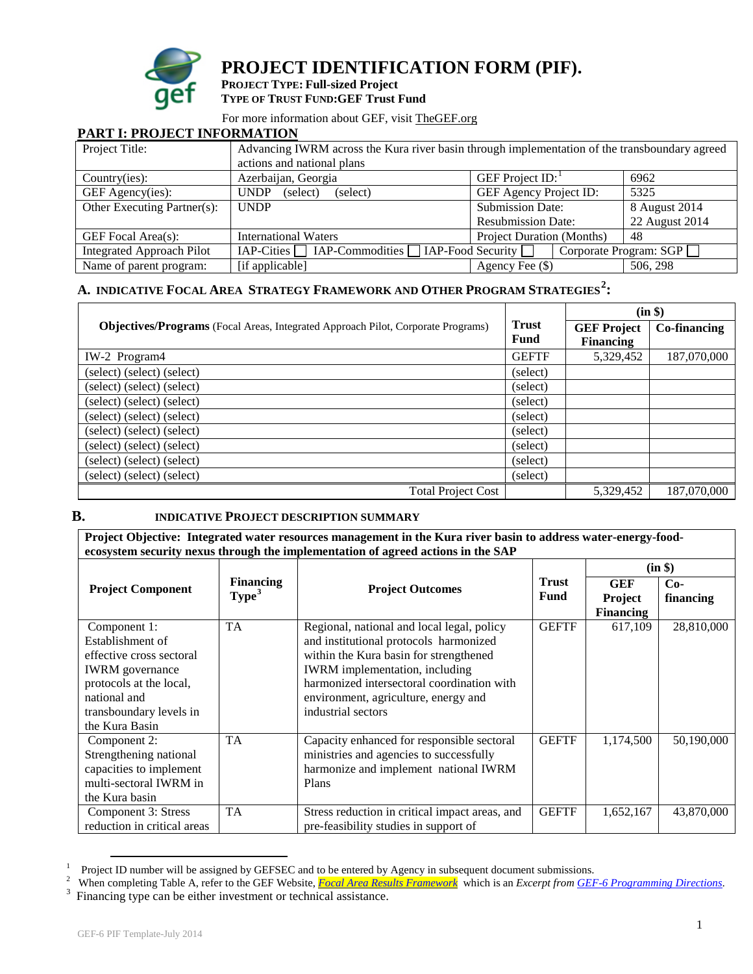

**PROJECT IDENTIFICATION FORM (PIF).**

**PROJECT TYPE: Full-sized Project TYPE OF TRUST FUND:GEF Trust Fund**

For more information about GEF, visit [TheGEF.org](http://www.thegef.org/gef/home)

## **PART I: PROJECT INFORMATION**

| Project Title:                   | Advancing IWRM across the Kura river basin through implementation of the transboundary agreed |                                  |                        |  |  |  |
|----------------------------------|-----------------------------------------------------------------------------------------------|----------------------------------|------------------------|--|--|--|
|                                  | actions and national plans                                                                    |                                  |                        |  |  |  |
| Country(ies):                    | Azerbaijan, Georgia                                                                           | GEF Project $ID:$<br>6962        |                        |  |  |  |
| GEF Agency(ies):                 | <b>UNDP</b><br>(select)<br>(select)                                                           | GEF Agency Project ID:<br>5325   |                        |  |  |  |
| Other Executing Partner(s):      | <b>UNDP</b>                                                                                   | <b>Submission Date:</b>          | 8 August 2014          |  |  |  |
|                                  |                                                                                               | <b>Resubmission Date:</b>        | 22 August 2014         |  |  |  |
| GEF Focal Area(s):               | <b>International Waters</b>                                                                   | <b>Project Duration (Months)</b> | 48                     |  |  |  |
| <b>Integrated Approach Pilot</b> |                                                                                               |                                  | Corporate Program: SGP |  |  |  |
| Name of parent program:          | [if applicable]                                                                               | 506, 298<br>Agency Fee $(\$)$    |                        |  |  |  |

# **A. INDICATIV[E FOCAL AREA STRATEGY](http://www.thegef.org/gef/sites/thegef.org/files/documents/document/GEF5-Template%20Reference%20Guide%209-14-10rev11-18-2010.doc) FRAMEWORK AND OTHER PROGRAM STRATEGIES[2](#page-0-1) :**

|                                                                                  |                      | (in \$)                                |              |  |
|----------------------------------------------------------------------------------|----------------------|----------------------------------------|--------------|--|
| Objectives/Programs (Focal Areas, Integrated Approach Pilot, Corporate Programs) | <b>Trust</b><br>Fund | <b>GEF Project</b><br><b>Financing</b> | Co-financing |  |
| IW-2 Program4                                                                    | <b>GEFTF</b>         | 5,329,452                              | 187,070,000  |  |
| (select) (select) (select)                                                       | (select)             |                                        |              |  |
| (select) (select) (select)                                                       | (select)             |                                        |              |  |
| (select) (select) (select)                                                       | (select)             |                                        |              |  |
| (select) (select) (select)                                                       | (select)             |                                        |              |  |
| (select) (select) (select)                                                       | (select)             |                                        |              |  |
| (select) (select) (select)                                                       | (select)             |                                        |              |  |
| (select) (select) (select)                                                       | (select)             |                                        |              |  |
| (select) (select) (select)                                                       | (select)             |                                        |              |  |
| <b>Total Project Cost</b>                                                        |                      | 5,329,452                              | 187,070,000  |  |

#### **B. INDICATIVE PROJECT DESCRIPTION SUMMARY**

**Project Objective: Integrated water resources management in the Kura river basin to address water-energy-foodecosystem security nexus through the implementation of agreed actions in the SAP** 

|                             |                   |                                                |              |                  | (in \$)    |
|-----------------------------|-------------------|------------------------------------------------|--------------|------------------|------------|
| <b>Project Component</b>    | <b>Financing</b>  | <b>Project Outcomes</b>                        | <b>Trust</b> | <b>GEF</b>       | $Co-$      |
|                             | Type <sup>3</sup> |                                                | <b>Fund</b>  | <b>Project</b>   | financing  |
|                             |                   |                                                |              | <b>Financing</b> |            |
| Component 1:                | <b>TA</b>         | Regional, national and local legal, policy     | <b>GEFTF</b> | 617,109          | 28,810,000 |
| Establishment of            |                   | and institutional protocols harmonized         |              |                  |            |
| effective cross sectoral    |                   | within the Kura basin for strengthened         |              |                  |            |
| <b>IWRM</b> governance      |                   | <b>IWRM</b> implementation, including          |              |                  |            |
| protocols at the local,     |                   | harmonized intersectoral coordination with     |              |                  |            |
| national and                |                   | environment, agriculture, energy and           |              |                  |            |
| transboundary levels in     |                   | industrial sectors                             |              |                  |            |
| the Kura Basin              |                   |                                                |              |                  |            |
| Component 2:                | <b>TA</b>         | Capacity enhanced for responsible sectoral     | <b>GEFTF</b> | 1,174,500        | 50,190,000 |
| Strengthening national      |                   | ministries and agencies to successfully        |              |                  |            |
| capacities to implement     |                   | harmonize and implement national IWRM          |              |                  |            |
| multi-sectoral IWRM in      |                   | Plans                                          |              |                  |            |
| the Kura basin              |                   |                                                |              |                  |            |
| Component 3: Stress         | <b>TA</b>         | Stress reduction in critical impact areas, and | <b>GEFTF</b> | 1,652,167        | 43,870,000 |
| reduction in critical areas |                   | pre-feasibility studies in support of          |              |                  |            |

 $\frac{1}{1}$  Droject Project ID number will be assigned by GEFSEC and to be entered by Agency in subsequent document submissions.<br><sup>2</sup> When completing Table A, refer to the GEE Website, **Food Area Pesults Francuscul**, which is an *Execut from* 

<span id="page-0-2"></span><span id="page-0-1"></span><span id="page-0-0"></span>When completing Table A, refer to the GEF Website, *[Focal Area Results Framework](http://spapps.worldbank.org/apps/gef/teams/obs/Shared%20Documents/GEF%20OPERATIONS/Template/Docs%20linked%20to%20templates/GEF6%20Focal%20Area%20Results%20Framework.docx)* which is an *Excerpt fro[m GEF-6 Programming Directions](http://www.thegef.org/gef/node/10412)*.<br><sup>3</sup> Financing type can be either investment or technical assistance. Financing type can be either investment or technical assistance.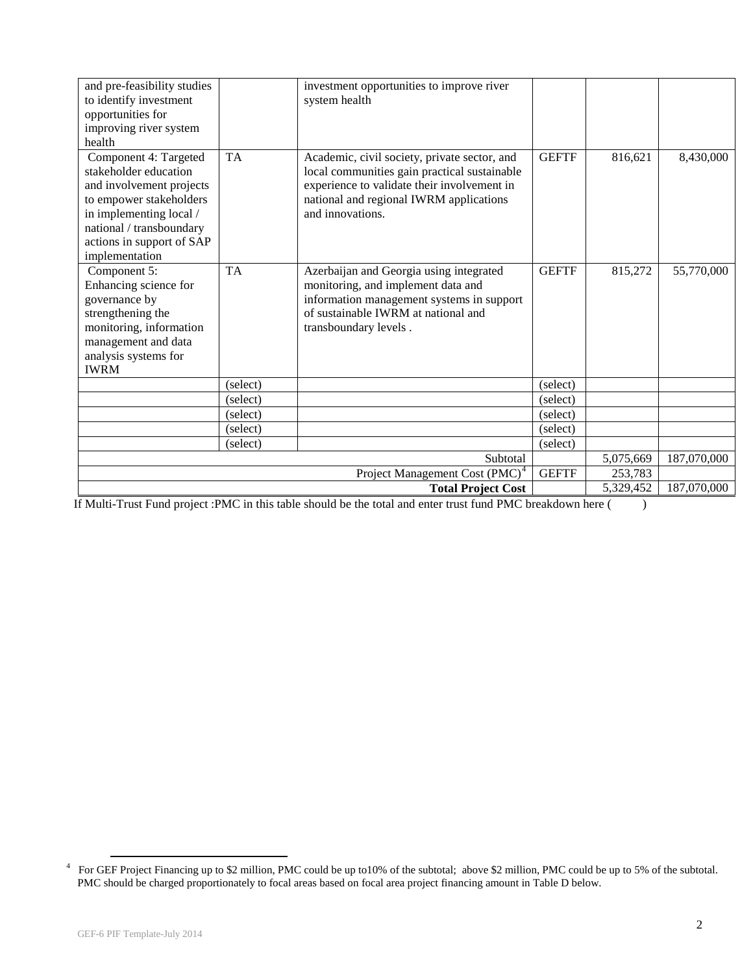| and pre-feasibility studies<br>to identify investment<br>opportunities for<br>improving river system<br>health                                                                                              |           | investment opportunities to improve river<br>system health                                                                                                                                                 |              |           |             |
|-------------------------------------------------------------------------------------------------------------------------------------------------------------------------------------------------------------|-----------|------------------------------------------------------------------------------------------------------------------------------------------------------------------------------------------------------------|--------------|-----------|-------------|
| Component 4: Targeted<br>stakeholder education<br>and involvement projects<br>to empower stakeholders<br>in implementing local /<br>national / transboundary<br>actions in support of SAP<br>implementation | <b>TA</b> | Academic, civil society, private sector, and<br>local communities gain practical sustainable<br>experience to validate their involvement in<br>national and regional IWRM applications<br>and innovations. | <b>GEFTF</b> | 816,621   | 8,430,000   |
| Component 5:<br>Enhancing science for<br>governance by<br>strengthening the<br>monitoring, information<br>management and data<br>analysis systems for<br><b>IWRM</b>                                        | <b>TA</b> | Azerbaijan and Georgia using integrated<br>monitoring, and implement data and<br>information management systems in support<br>of sustainable IWRM at national and<br>transboundary levels.                 | <b>GEFTF</b> | 815,272   | 55,770,000  |
|                                                                                                                                                                                                             | (select)  |                                                                                                                                                                                                            | (select)     |           |             |
|                                                                                                                                                                                                             | (select)  |                                                                                                                                                                                                            | (select)     |           |             |
|                                                                                                                                                                                                             | (select)  |                                                                                                                                                                                                            | (select)     |           |             |
|                                                                                                                                                                                                             | (select)  |                                                                                                                                                                                                            | (select)     |           |             |
|                                                                                                                                                                                                             | (select)  |                                                                                                                                                                                                            | (select)     |           |             |
|                                                                                                                                                                                                             |           | Subtotal                                                                                                                                                                                                   |              | 5,075,669 | 187,070,000 |
|                                                                                                                                                                                                             |           | Project Management Cost (PMC) <sup>4</sup>                                                                                                                                                                 | <b>GEFTF</b> | 253,783   |             |
|                                                                                                                                                                                                             |           | <b>Total Project Cost</b>                                                                                                                                                                                  |              | 5,329,452 | 187,070,000 |

If Multi-Trust Fund project :PMC in this table should be the total and enter trust fund PMC breakdown here ( )

<span id="page-1-0"></span> <sup>4</sup> For GEF Project Financing up to \$2 million, PMC could be up to10% of the subtotal; above \$2 million, PMC could be up to 5% of the subtotal. PMC should be charged proportionately to focal areas based on focal area project financing amount in Table D below.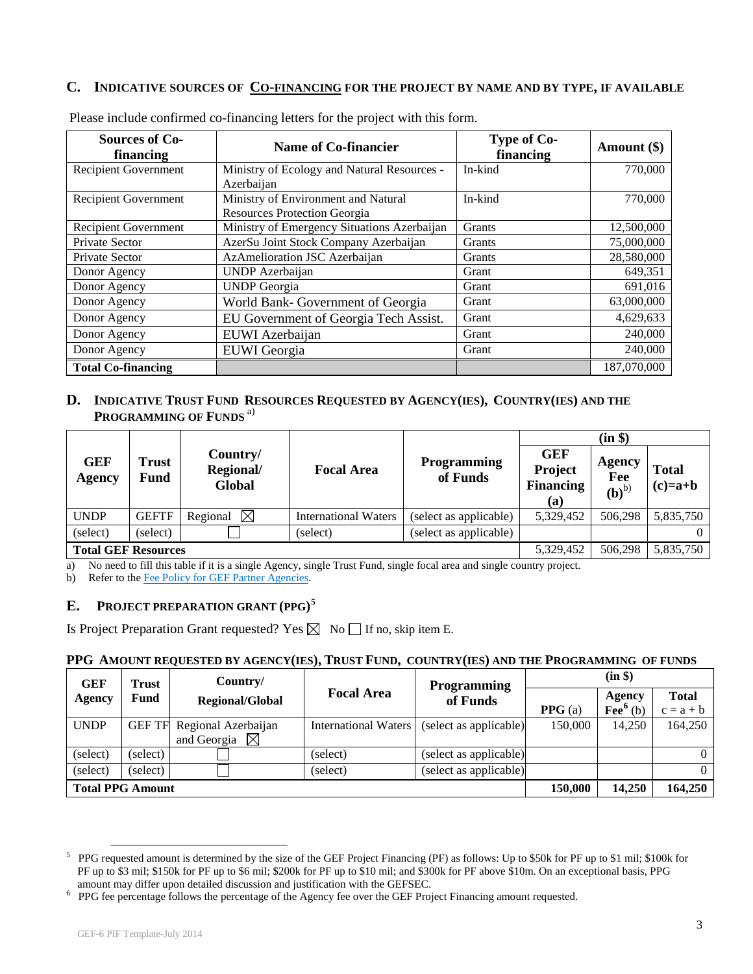## **C. INDICATIVE SOURCES OF [CO-FINANCING](http://gefweb.org/Documents/Council_Documents/GEF_C21/C.20.6.Rev.1.pdf) FOR THE PROJECT BY NAME AND BY TYPE, IF AVAILABLE**

| <b>Sources of Co-</b><br>financing | <b>Name of Co-financier</b>                 | Type of Co-<br>financing | Amount $(\$)$ |
|------------------------------------|---------------------------------------------|--------------------------|---------------|
| Recipient Government               | Ministry of Ecology and Natural Resources - | In-kind                  | 770,000       |
|                                    | Azerbaijan                                  |                          |               |
| <b>Recipient Government</b>        | Ministry of Environment and Natural         | In-kind                  | 770,000       |
|                                    | <b>Resources Protection Georgia</b>         |                          |               |
| Recipient Government               | Ministry of Emergency Situations Azerbaijan | Grants                   | 12,500,000    |
| Private Sector                     | AzerSu Joint Stock Company Azerbaijan       | Grants                   | 75,000,000    |
| Private Sector                     | AzAmelioration JSC Azerbaijan               | Grants                   | 28,580,000    |
| Donor Agency                       | <b>UNDP</b> Azerbaijan                      | Grant                    | 649,351       |
| Donor Agency                       | <b>UNDP</b> Georgia                         | Grant                    | 691,016       |
| Donor Agency                       | World Bank- Government of Georgia           | Grant                    | 63,000,000    |
| Donor Agency                       | EU Government of Georgia Tech Assist.       | Grant                    | 4,629,633     |
| Donor Agency                       | EUWI Azerbaijan                             | Grant                    | 240,000       |
| Donor Agency                       | <b>EUWI</b> Georgia                         | Grant                    | 240,000       |
| <b>Total Co-financing</b>          |                                             |                          | 187,070,000   |

Please include confirmed co-financing letters for the project with this form.

## **D. INDICATIVE TRUST FUND RESOURCES REQUESTED BY AGENCY(IES), COUNTRY(IES) AND THE PROGRAMMING OF FUNDS** a)

|                            |               |                                 |                             |                                |                                                  | (in \$)                     |                           |
|----------------------------|---------------|---------------------------------|-----------------------------|--------------------------------|--------------------------------------------------|-----------------------------|---------------------------|
| <b>GEF</b><br>Agency       | Trust<br>Fund | Country/<br>Regional/<br>Global | <b>Focal Area</b>           | <b>Programming</b><br>of Funds | <b>GEF</b><br>Project<br><b>Financing</b><br>(a) | Agency<br>Fee<br>$(b)^{b)}$ | <b>Total</b><br>$(c)=a+b$ |
| <b>UNDP</b>                | <b>GEFTF</b>  | $\boxtimes$<br>Regional         | <b>International Waters</b> | (select as applicable)         | 5,329,452                                        | 506,298                     | 5,835,750                 |
| (select)                   | (select)      |                                 | (select)                    | (select as applicable)         |                                                  |                             |                           |
| <b>Total GEF Resources</b> |               |                                 |                             | 5,329,452                      | 506,298                                          | 5,835,750                   |                           |

a) No need to fill this table if it is a single Agency, single Trust Fund, single focal area and single country project.

b) Refer to th[e Fee Policy for GEF Partner](http://www.thegef.org/gef/sites/thegef.org/files/documents/document/gef-fee-policy.pdf) Agencies.

## **E. PROJECT PREPARATION GRANT (PPG) [5](#page-2-0)**

Is Project Preparation Grant requested? Yes  $\boxtimes$  No  $\Box$  If no, skip item E.

## **PPG AMOUNT REQUESTED BY AGENCY(IES), TRUST FUND, COUNTRY(IES) AND THE PROGRAMMING OF FUNDS**

| <b>GEF</b>              | <b>Trust</b>  | Country/                |                             | <b>Programming</b>     |         | (in \$)                             |                             |
|-------------------------|---------------|-------------------------|-----------------------------|------------------------|---------|-------------------------------------|-----------------------------|
| Agency                  | <b>Fund</b>   | <b>Regional/Global</b>  | <b>Focal Area</b>           | of Funds               | PPG(a)  | Agency<br>$\text{Fe}^{\bullet}$ (b) | <b>Total</b><br>$c = a + b$ |
|                         |               |                         |                             |                        |         |                                     |                             |
| <b>UNDP</b>             | <b>GEF TF</b> | Regional Azerbaijan     | <b>International Waters</b> | (select as applicable) | 150,000 | 14.250                              | 164,250                     |
|                         |               | and Georgia $\boxtimes$ |                             |                        |         |                                     |                             |
| (select)                | (select)      |                         | (select)                    | (select as applicable) |         |                                     |                             |
| (select)                | (select)      |                         | (select)                    | (select as applicable) |         |                                     | $\Omega$                    |
| <b>Total PPG Amount</b> |               |                         |                             | 150,000                | 14.250  | 164,250                             |                             |

<span id="page-2-0"></span><sup>&</sup>lt;sup>5</sup> PPG requested amount is determined by the size of the GEF Project Financing (PF) as follows: Up to \$50k for PF up to \$1 mil; \$100k for PF up to \$3 mil; \$150k for PF up to \$6 mil; \$200k for PF up to \$10 mil; and \$300k for PF above \$10m. On an exceptional basis, PPG amount may differ upon detailed discussion and justification with the GEFSEC. <sup>6</sup>

<span id="page-2-1"></span><sup>&</sup>lt;sup>6</sup> PPG fee percentage follows the percentage of the Agency fee over the GEF Project Financing amount requested.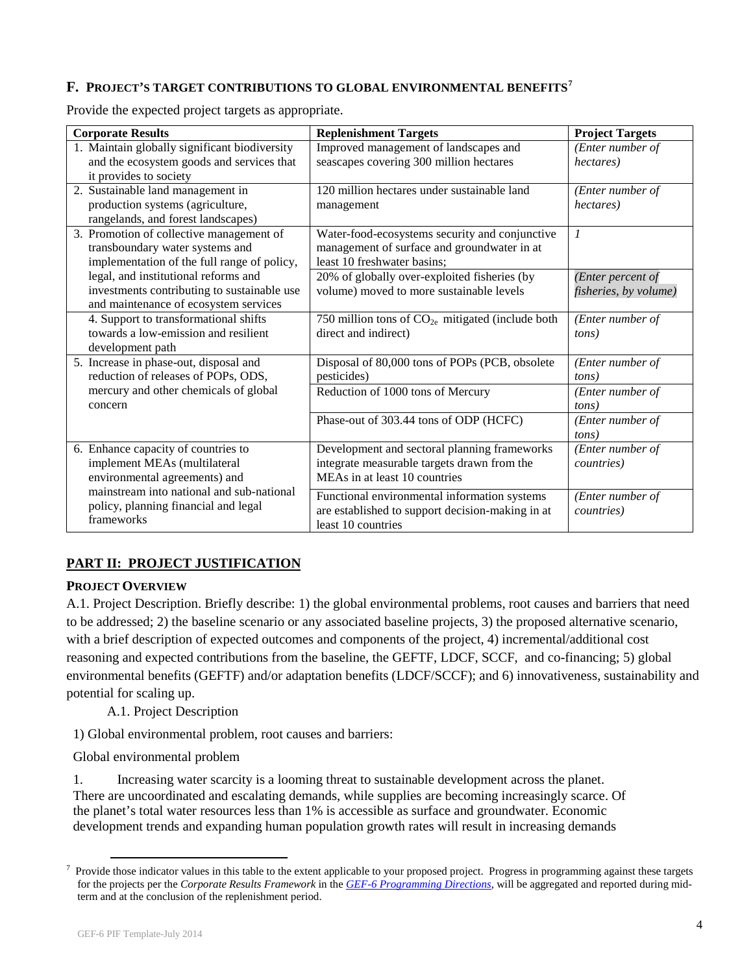## **F. PROJECT'S TARGET CONTRIBUTIONS TO GLOBAL ENVIRONMENTAL BENEFITS[7](#page-3-0)**

Provide the expected project targets as appropriate.

| <b>Corporate Results</b>                      | <b>Replenishment Targets</b>                       | <b>Project Targets</b> |
|-----------------------------------------------|----------------------------------------------------|------------------------|
| 1. Maintain globally significant biodiversity | Improved management of landscapes and              | (Enter number of       |
| and the ecosystem goods and services that     | seascapes covering 300 million hectares            | hectares)              |
| it provides to society                        |                                                    |                        |
| 2. Sustainable land management in             | 120 million hectares under sustainable land        | (Enter number of       |
| production systems (agriculture,              | management                                         | hectares)              |
| rangelands, and forest landscapes)            |                                                    |                        |
| 3. Promotion of collective management of      | Water-food-ecosystems security and conjunctive     | $\mathcal{I}$          |
| transboundary water systems and               | management of surface and groundwater in at        |                        |
| implementation of the full range of policy,   | least 10 freshwater basins;                        |                        |
| legal, and institutional reforms and          | 20% of globally over-exploited fisheries (by       | (Enter percent of      |
| investments contributing to sustainable use   | volume) moved to more sustainable levels           | fisheries, by volume)  |
| and maintenance of ecosystem services         |                                                    |                        |
| 4. Support to transformational shifts         | 750 million tons of $CO2e$ mitigated (include both | (Enter number of       |
| towards a low-emission and resilient          | direct and indirect)                               | tons)                  |
| development path                              |                                                    |                        |
| 5. Increase in phase-out, disposal and        | Disposal of 80,000 tons of POPs (PCB, obsolete     | (Enter number of       |
| reduction of releases of POPs, ODS,           | pesticides)                                        | tons)                  |
| mercury and other chemicals of global         | Reduction of 1000 tons of Mercury                  | (Enter number of       |
| concern                                       |                                                    | tons)                  |
|                                               | Phase-out of 303.44 tons of ODP (HCFC)             | (Enter number of       |
|                                               |                                                    | tons)                  |
| 6. Enhance capacity of countries to           | Development and sectoral planning frameworks       | (Enter number of       |
| implement MEAs (multilateral                  | integrate measurable targets drawn from the        | <i>countries</i> )     |
| environmental agreements) and                 | MEAs in at least 10 countries                      |                        |
| mainstream into national and sub-national     | Functional environmental information systems       | (Enter number of       |
| policy, planning financial and legal          | are established to support decision-making in at   | <i>countries</i> )     |
| frameworks                                    | least 10 countries                                 |                        |

## **PART II: PROJECT JUSTIFICATION**

## **PROJECT OVERVIEW**

A.1. Project Description. Briefly describe: 1) the global environmental problems, root causes and barriers that need to be addressed; 2) the baseline scenario or any associated baseline projects, 3) the proposed alternative scenario, with a brief description of expected outcomes and components of the project, 4) incremental/additional cost reasoning and expected contributions from the baseline, the GEFTF, LDCF, SCCF, and co-financing; 5) global environmental benefits (GEFTF) and/or adaptation benefits (LDCF/SCCF); and 6) innovativeness, sustainability and potential for scaling up.

A.1. Project Description

1) Global environmental problem, root causes and barriers:

Global environmental problem

1. Increasing water scarcity is a looming threat to sustainable development across the planet. There are uncoordinated and escalating demands, while supplies are becoming increasingly scarce. Of the planet's total water resources less than 1% is accessible as surface and groundwater. Economic development trends and expanding human population growth rates will result in increasing demands

<span id="page-3-0"></span><sup>&</sup>lt;sup>7</sup> Provide those indicator values in this table to the extent applicable to your proposed project. Progress in programming against these targets for the projects per the *Corporate Results Framework* in the *[GEF-6 Programming Directions,](http://www.thegef.org/gef/node/10412)* will be aggregated and reported during midterm and at the conclusion of the replenishment period.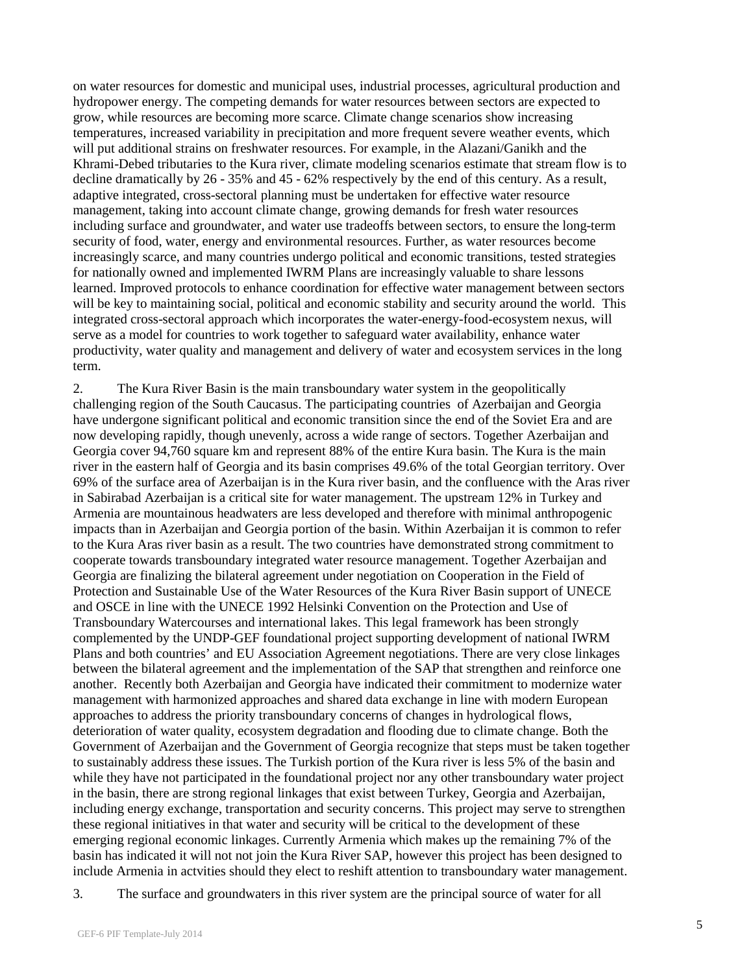on water resources for domestic and municipal uses, industrial processes, agricultural production and hydropower energy. The competing demands for water resources between sectors are expected to grow, while resources are becoming more scarce. Climate change scenarios show increasing temperatures, increased variability in precipitation and more frequent severe weather events, which will put additional strains on freshwater resources. For example, in the Alazani/Ganikh and the Khrami-Debed tributaries to the Kura river, climate modeling scenarios estimate that stream flow is to decline dramatically by 26 - 35% and 45 - 62% respectively by the end of this century. As a result, adaptive integrated, cross-sectoral planning must be undertaken for effective water resource management, taking into account climate change, growing demands for fresh water resources including surface and groundwater, and water use tradeoffs between sectors, to ensure the long-term security of food, water, energy and environmental resources. Further, as water resources become increasingly scarce, and many countries undergo political and economic transitions, tested strategies for nationally owned and implemented IWRM Plans are increasingly valuable to share lessons learned. Improved protocols to enhance coordination for effective water management between sectors will be key to maintaining social, political and economic stability and security around the world. This integrated cross-sectoral approach which incorporates the water-energy-food-ecosystem nexus, will serve as a model for countries to work together to safeguard water availability, enhance water productivity, water quality and management and delivery of water and ecosystem services in the long term.

2. The Kura River Basin is the main transboundary water system in the geopolitically challenging region of the South Caucasus. The participating countries of Azerbaijan and Georgia have undergone significant political and economic transition since the end of the Soviet Era and are now developing rapidly, though unevenly, across a wide range of sectors. Together Azerbaijan and Georgia cover 94,760 square km and represent 88% of the entire Kura basin. The Kura is the main river in the eastern half of Georgia and its basin comprises 49.6% of the total Georgian territory. Over 69% of the surface area of Azerbaijan is in the Kura river basin, and the confluence with the Aras river in Sabirabad Azerbaijan is a critical site for water management. The upstream 12% in Turkey and Armenia are mountainous headwaters are less developed and therefore with minimal anthropogenic impacts than in Azerbaijan and Georgia portion of the basin. Within Azerbaijan it is common to refer to the Kura Aras river basin as a result. The two countries have demonstrated strong commitment to cooperate towards transboundary integrated water resource management. Together Azerbaijan and Georgia are finalizing the bilateral agreement under negotiation on Cooperation in the Field of Protection and Sustainable Use of the Water Resources of the Kura River Basin support of UNECE and OSCE in line with the UNECE 1992 Helsinki Convention on the Protection and Use of Transboundary Watercourses and international lakes. This legal framework has been strongly complemented by the UNDP-GEF foundational project supporting development of national IWRM Plans and both countries' and EU Association Agreement negotiations. There are very close linkages between the bilateral agreement and the implementation of the SAP that strengthen and reinforce one another. Recently both Azerbaijan and Georgia have indicated their commitment to modernize water management with harmonized approaches and shared data exchange in line with modern European approaches to address the priority transboundary concerns of changes in hydrological flows, deterioration of water quality, ecosystem degradation and flooding due to climate change. Both the Government of Azerbaijan and the Government of Georgia recognize that steps must be taken together to sustainably address these issues. The Turkish portion of the Kura river is less 5% of the basin and while they have not participated in the foundational project nor any other transboundary water project in the basin, there are strong regional linkages that exist between Turkey, Georgia and Azerbaijan, including energy exchange, transportation and security concerns. This project may serve to strengthen these regional initiatives in that water and security will be critical to the development of these emerging regional economic linkages. Currently Armenia which makes up the remaining 7% of the basin has indicated it will not not join the Kura River SAP, however this project has been designed to include Armenia in actvities should they elect to reshift attention to transboundary water management.

<sup>3.</sup> The surface and groundwaters in this river system are the principal source of water for all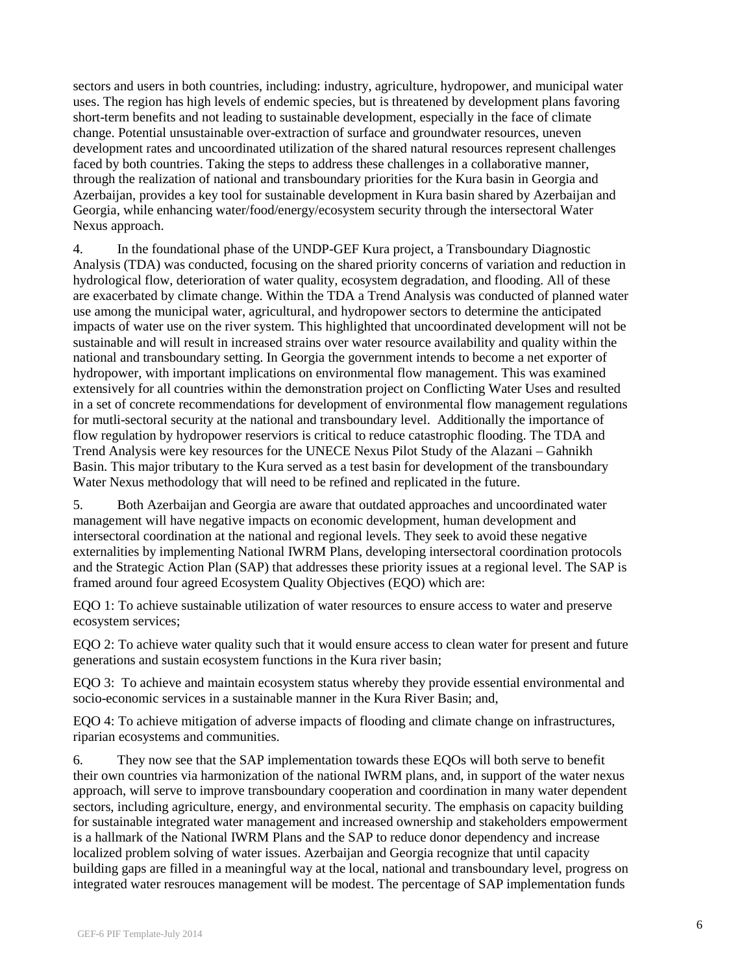sectors and users in both countries, including: industry, agriculture, hydropower, and municipal water uses. The region has high levels of endemic species, but is threatened by development plans favoring short-term benefits and not leading to sustainable development, especially in the face of climate change. Potential unsustainable over-extraction of surface and groundwater resources, uneven development rates and uncoordinated utilization of the shared natural resources represent challenges faced by both countries. Taking the steps to address these challenges in a collaborative manner, through the realization of national and transboundary priorities for the Kura basin in Georgia and Azerbaijan, provides a key tool for sustainable development in Kura basin shared by Azerbaijan and Georgia, while enhancing water/food/energy/ecosystem security through the intersectoral Water Nexus approach.

4. In the foundational phase of the UNDP-GEF Kura project, a Transboundary Diagnostic Analysis (TDA) was conducted, focusing on the shared priority concerns of variation and reduction in hydrological flow, deterioration of water quality, ecosystem degradation, and flooding. All of these are exacerbated by climate change. Within the TDA a Trend Analysis was conducted of planned water use among the municipal water, agricultural, and hydropower sectors to determine the anticipated impacts of water use on the river system. This highlighted that uncoordinated development will not be sustainable and will result in increased strains over water resource availability and quality within the national and transboundary setting. In Georgia the government intends to become a net exporter of hydropower, with important implications on environmental flow management. This was examined extensively for all countries within the demonstration project on Conflicting Water Uses and resulted in a set of concrete recommendations for development of environmental flow management regulations for mutli-sectoral security at the national and transboundary level. Additionally the importance of flow regulation by hydropower reserviors is critical to reduce catastrophic flooding. The TDA and Trend Analysis were key resources for the UNECE Nexus Pilot Study of the Alazani – Gahnikh Basin. This major tributary to the Kura served as a test basin for development of the transboundary Water Nexus methodology that will need to be refined and replicated in the future.

5. Both Azerbaijan and Georgia are aware that outdated approaches and uncoordinated water management will have negative impacts on economic development, human development and intersectoral coordination at the national and regional levels. They seek to avoid these negative externalities by implementing National IWRM Plans, developing intersectoral coordination protocols and the Strategic Action Plan (SAP) that addresses these priority issues at a regional level. The SAP is framed around four agreed Ecosystem Quality Objectives (EQO) which are:

EQO 1: To achieve sustainable utilization of water resources to ensure access to water and preserve ecosystem services;

EQO 2: To achieve water quality such that it would ensure access to clean water for present and future generations and sustain ecosystem functions in the Kura river basin;

EQO 3: To achieve and maintain ecosystem status whereby they provide essential environmental and socio-economic services in a sustainable manner in the Kura River Basin; and,

EQO 4: To achieve mitigation of adverse impacts of flooding and climate change on infrastructures, riparian ecosystems and communities.

6. They now see that the SAP implementation towards these EQOs will both serve to benefit their own countries via harmonization of the national IWRM plans, and, in support of the water nexus approach, will serve to improve transboundary cooperation and coordination in many water dependent sectors, including agriculture, energy, and environmental security. The emphasis on capacity building for sustainable integrated water management and increased ownership and stakeholders empowerment is a hallmark of the National IWRM Plans and the SAP to reduce donor dependency and increase localized problem solving of water issues. Azerbaijan and Georgia recognize that until capacity building gaps are filled in a meaningful way at the local, national and transboundary level, progress on integrated water resrouces management will be modest. The percentage of SAP implementation funds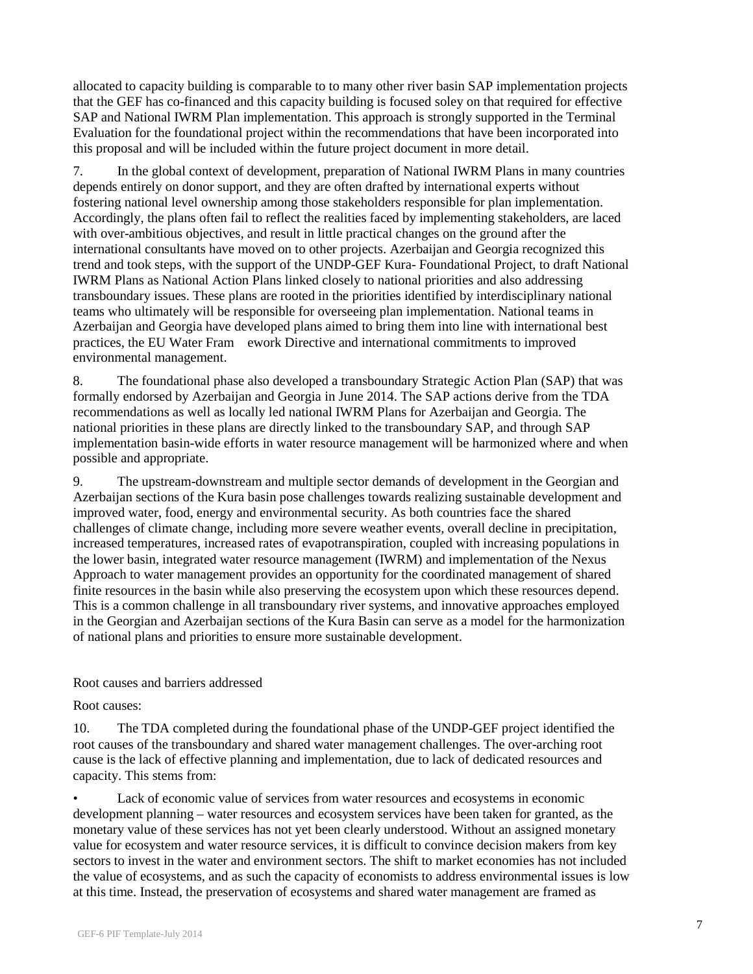allocated to capacity building is comparable to to many other river basin SAP implementation projects that the GEF has co-financed and this capacity building is focused soley on that required for effective SAP and National IWRM Plan implementation. This approach is strongly supported in the Terminal Evaluation for the foundational project within the recommendations that have been incorporated into this proposal and will be included within the future project document in more detail.

7. In the global context of development, preparation of National IWRM Plans in many countries depends entirely on donor support, and they are often drafted by international experts without fostering national level ownership among those stakeholders responsible for plan implementation. Accordingly, the plans often fail to reflect the realities faced by implementing stakeholders, are laced with over-ambitious objectives, and result in little practical changes on the ground after the international consultants have moved on to other projects. Azerbaijan and Georgia recognized this trend and took steps, with the support of the UNDP-GEF Kura- Foundational Project, to draft National IWRM Plans as National Action Plans linked closely to national priorities and also addressing transboundary issues. These plans are rooted in the priorities identified by interdisciplinary national teams who ultimately will be responsible for overseeing plan implementation. National teams in Azerbaijan and Georgia have developed plans aimed to bring them into line with international best practices, the EU Water Fram ework Directive and international commitments to improved environmental management.

8. The foundational phase also developed a transboundary Strategic Action Plan (SAP) that was formally endorsed by Azerbaijan and Georgia in June 2014. The SAP actions derive from the TDA recommendations as well as locally led national IWRM Plans for Azerbaijan and Georgia. The national priorities in these plans are directly linked to the transboundary SAP, and through SAP implementation basin-wide efforts in water resource management will be harmonized where and when possible and appropriate.

9. The upstream-downstream and multiple sector demands of development in the Georgian and Azerbaijan sections of the Kura basin pose challenges towards realizing sustainable development and improved water, food, energy and environmental security. As both countries face the shared challenges of climate change, including more severe weather events, overall decline in precipitation, increased temperatures, increased rates of evapotranspiration, coupled with increasing populations in the lower basin, integrated water resource management (IWRM) and implementation of the Nexus Approach to water management provides an opportunity for the coordinated management of shared finite resources in the basin while also preserving the ecosystem upon which these resources depend. This is a common challenge in all transboundary river systems, and innovative approaches employed in the Georgian and Azerbaijan sections of the Kura Basin can serve as a model for the harmonization of national plans and priorities to ensure more sustainable development.

### Root causes and barriers addressed

Root causes:

10. The TDA completed during the foundational phase of the UNDP-GEF project identified the root causes of the transboundary and shared water management challenges. The over-arching root cause is the lack of effective planning and implementation, due to lack of dedicated resources and capacity. This stems from:

• Lack of economic value of services from water resources and ecosystems in economic development planning – water resources and ecosystem services have been taken for granted, as the monetary value of these services has not yet been clearly understood. Without an assigned monetary value for ecosystem and water resource services, it is difficult to convince decision makers from key sectors to invest in the water and environment sectors. The shift to market economies has not included the value of ecosystems, and as such the capacity of economists to address environmental issues is low at this time. Instead, the preservation of ecosystems and shared water management are framed as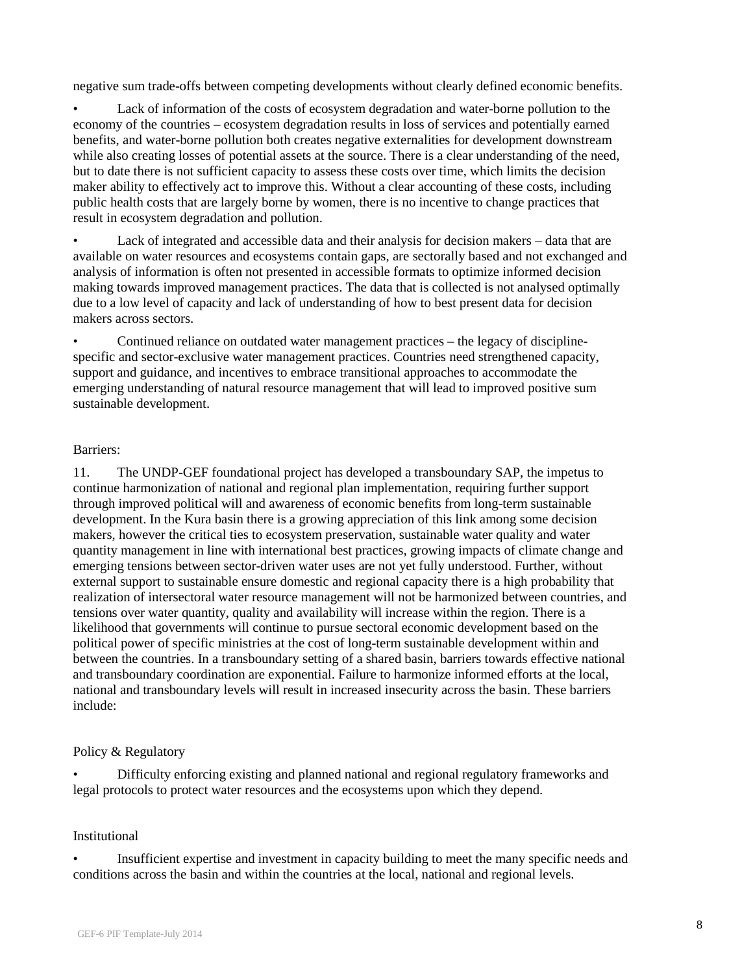negative sum trade-offs between competing developments without clearly defined economic benefits.

• Lack of information of the costs of ecosystem degradation and water-borne pollution to the economy of the countries – ecosystem degradation results in loss of services and potentially earned benefits, and water-borne pollution both creates negative externalities for development downstream while also creating losses of potential assets at the source. There is a clear understanding of the need, but to date there is not sufficient capacity to assess these costs over time, which limits the decision maker ability to effectively act to improve this. Without a clear accounting of these costs, including public health costs that are largely borne by women, there is no incentive to change practices that result in ecosystem degradation and pollution.

• Lack of integrated and accessible data and their analysis for decision makers – data that are available on water resources and ecosystems contain gaps, are sectorally based and not exchanged and analysis of information is often not presented in accessible formats to optimize informed decision making towards improved management practices. The data that is collected is not analysed optimally due to a low level of capacity and lack of understanding of how to best present data for decision makers across sectors.

• Continued reliance on outdated water management practices – the legacy of disciplinespecific and sector-exclusive water management practices. Countries need strengthened capacity, support and guidance, and incentives to embrace transitional approaches to accommodate the emerging understanding of natural resource management that will lead to improved positive sum sustainable development.

## Barriers:

11. The UNDP-GEF foundational project has developed a transboundary SAP, the impetus to continue harmonization of national and regional plan implementation, requiring further support through improved political will and awareness of economic benefits from long-term sustainable development. In the Kura basin there is a growing appreciation of this link among some decision makers, however the critical ties to ecosystem preservation, sustainable water quality and water quantity management in line with international best practices, growing impacts of climate change and emerging tensions between sector-driven water uses are not yet fully understood. Further, without external support to sustainable ensure domestic and regional capacity there is a high probability that realization of intersectoral water resource management will not be harmonized between countries, and tensions over water quantity, quality and availability will increase within the region. There is a likelihood that governments will continue to pursue sectoral economic development based on the political power of specific ministries at the cost of long-term sustainable development within and between the countries. In a transboundary setting of a shared basin, barriers towards effective national and transboundary coordination are exponential. Failure to harmonize informed efforts at the local, national and transboundary levels will result in increased insecurity across the basin. These barriers include:

## Policy & Regulatory

• Difficulty enforcing existing and planned national and regional regulatory frameworks and legal protocols to protect water resources and the ecosystems upon which they depend.

## **Institutional**

• Insufficient expertise and investment in capacity building to meet the many specific needs and conditions across the basin and within the countries at the local, national and regional levels.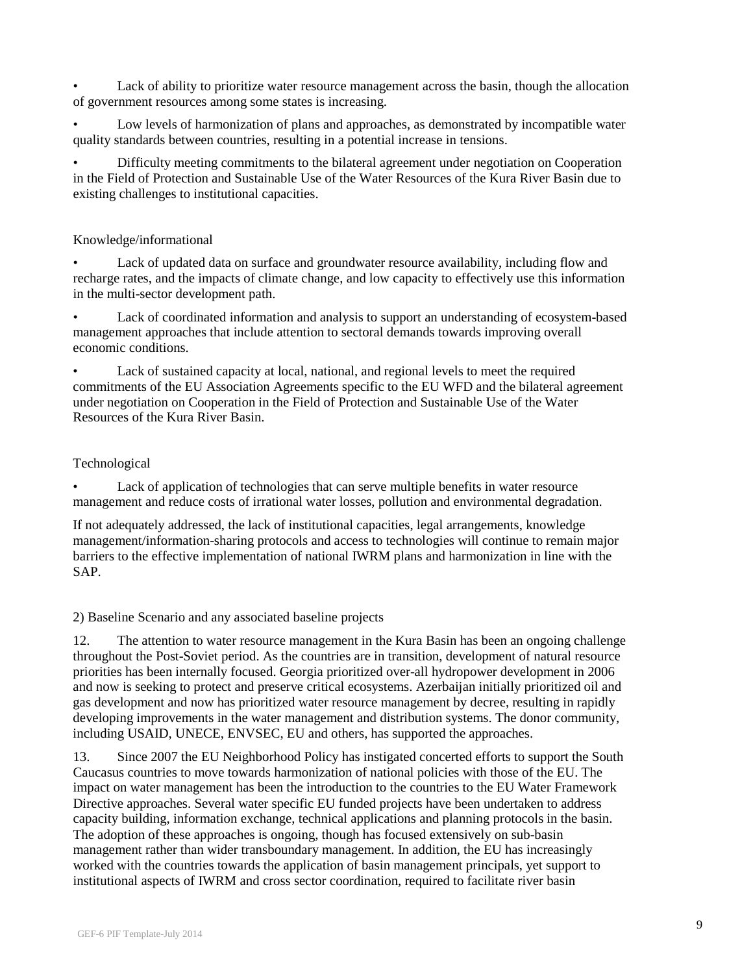• Lack of ability to prioritize water resource management across the basin, though the allocation of government resources among some states is increasing.

• Low levels of harmonization of plans and approaches, as demonstrated by incompatible water quality standards between countries, resulting in a potential increase in tensions.

• Difficulty meeting commitments to the bilateral agreement under negotiation on Cooperation in the Field of Protection and Sustainable Use of the Water Resources of the Kura River Basin due to existing challenges to institutional capacities.

### Knowledge/informational

• Lack of updated data on surface and groundwater resource availability, including flow and recharge rates, and the impacts of climate change, and low capacity to effectively use this information in the multi-sector development path.

• Lack of coordinated information and analysis to support an understanding of ecosystem-based management approaches that include attention to sectoral demands towards improving overall economic conditions.

• Lack of sustained capacity at local, national, and regional levels to meet the required commitments of the EU Association Agreements specific to the EU WFD and the bilateral agreement under negotiation on Cooperation in the Field of Protection and Sustainable Use of the Water Resources of the Kura River Basin.

## Technological

Lack of application of technologies that can serve multiple benefits in water resource management and reduce costs of irrational water losses, pollution and environmental degradation.

If not adequately addressed, the lack of institutional capacities, legal arrangements, knowledge management/information-sharing protocols and access to technologies will continue to remain major barriers to the effective implementation of national IWRM plans and harmonization in line with the SAP.

2) Baseline Scenario and any associated baseline projects

12. The attention to water resource management in the Kura Basin has been an ongoing challenge throughout the Post-Soviet period. As the countries are in transition, development of natural resource priorities has been internally focused. Georgia prioritized over-all hydropower development in 2006 and now is seeking to protect and preserve critical ecosystems. Azerbaijan initially prioritized oil and gas development and now has prioritized water resource management by decree, resulting in rapidly developing improvements in the water management and distribution systems. The donor community, including USAID, UNECE, ENVSEC, EU and others, has supported the approaches.

13. Since 2007 the EU Neighborhood Policy has instigated concerted efforts to support the South Caucasus countries to move towards harmonization of national policies with those of the EU. The impact on water management has been the introduction to the countries to the EU Water Framework Directive approaches. Several water specific EU funded projects have been undertaken to address capacity building, information exchange, technical applications and planning protocols in the basin. The adoption of these approaches is ongoing, though has focused extensively on sub-basin management rather than wider transboundary management. In addition, the EU has increasingly worked with the countries towards the application of basin management principals, yet support to institutional aspects of IWRM and cross sector coordination, required to facilitate river basin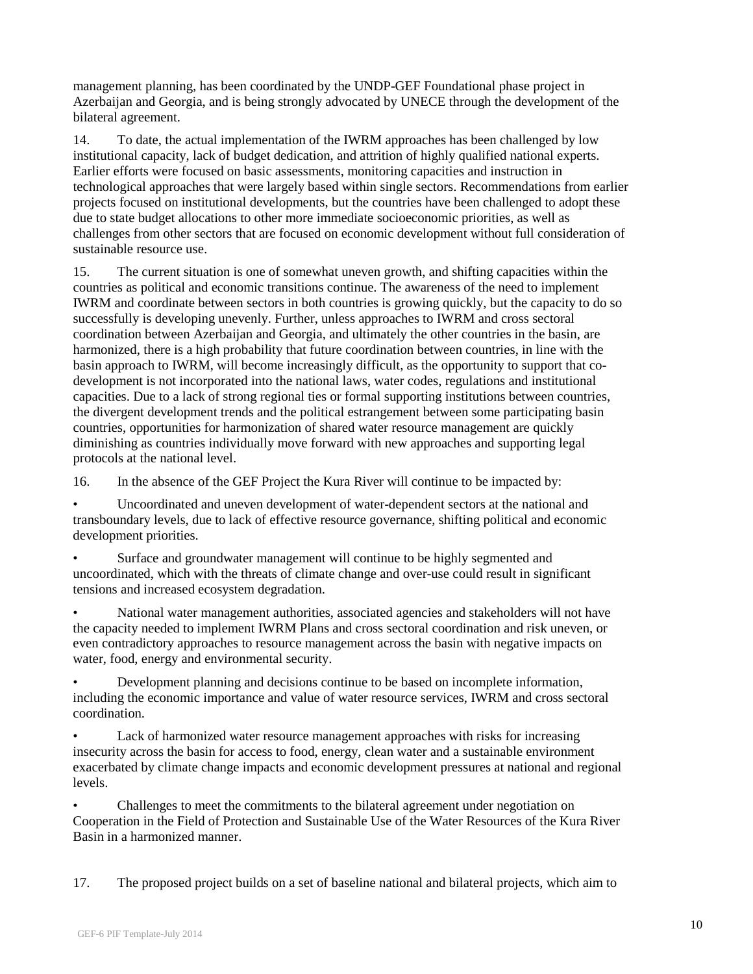management planning, has been coordinated by the UNDP-GEF Foundational phase project in Azerbaijan and Georgia, and is being strongly advocated by UNECE through the development of the bilateral agreement.

14. To date, the actual implementation of the IWRM approaches has been challenged by low institutional capacity, lack of budget dedication, and attrition of highly qualified national experts. Earlier efforts were focused on basic assessments, monitoring capacities and instruction in technological approaches that were largely based within single sectors. Recommendations from earlier projects focused on institutional developments, but the countries have been challenged to adopt these due to state budget allocations to other more immediate socioeconomic priorities, as well as challenges from other sectors that are focused on economic development without full consideration of sustainable resource use.

15. The current situation is one of somewhat uneven growth, and shifting capacities within the countries as political and economic transitions continue. The awareness of the need to implement IWRM and coordinate between sectors in both countries is growing quickly, but the capacity to do so successfully is developing unevenly. Further, unless approaches to IWRM and cross sectoral coordination between Azerbaijan and Georgia, and ultimately the other countries in the basin, are harmonized, there is a high probability that future coordination between countries, in line with the basin approach to IWRM, will become increasingly difficult, as the opportunity to support that codevelopment is not incorporated into the national laws, water codes, regulations and institutional capacities. Due to a lack of strong regional ties or formal supporting institutions between countries, the divergent development trends and the political estrangement between some participating basin countries, opportunities for harmonization of shared water resource management are quickly diminishing as countries individually move forward with new approaches and supporting legal protocols at the national level.

16. In the absence of the GEF Project the Kura River will continue to be impacted by:

• Uncoordinated and uneven development of water-dependent sectors at the national and transboundary levels, due to lack of effective resource governance, shifting political and economic development priorities.

• Surface and groundwater management will continue to be highly segmented and uncoordinated, which with the threats of climate change and over-use could result in significant tensions and increased ecosystem degradation.

• National water management authorities, associated agencies and stakeholders will not have the capacity needed to implement IWRM Plans and cross sectoral coordination and risk uneven, or even contradictory approaches to resource management across the basin with negative impacts on water, food, energy and environmental security.

• Development planning and decisions continue to be based on incomplete information, including the economic importance and value of water resource services, IWRM and cross sectoral coordination.

• Lack of harmonized water resource management approaches with risks for increasing insecurity across the basin for access to food, energy, clean water and a sustainable environment exacerbated by climate change impacts and economic development pressures at national and regional levels.

• Challenges to meet the commitments to the bilateral agreement under negotiation on Cooperation in the Field of Protection and Sustainable Use of the Water Resources of the Kura River Basin in a harmonized manner.

17. The proposed project builds on a set of baseline national and bilateral projects, which aim to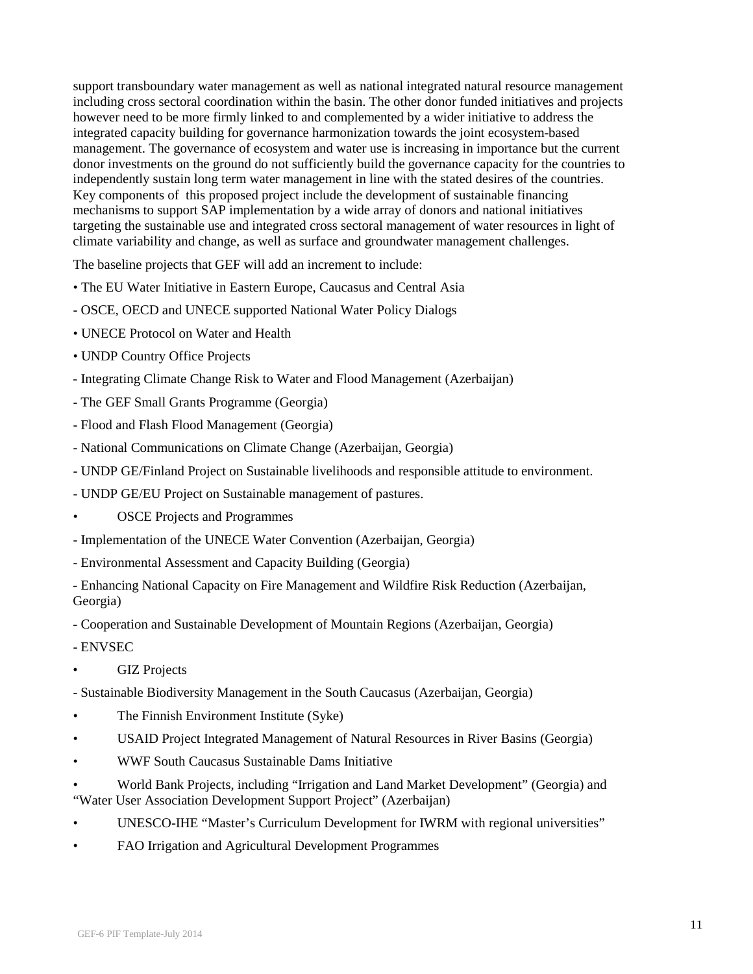support transboundary water management as well as national integrated natural resource management including cross sectoral coordination within the basin. The other donor funded initiatives and projects however need to be more firmly linked to and complemented by a wider initiative to address the integrated capacity building for governance harmonization towards the joint ecosystem-based management. The governance of ecosystem and water use is increasing in importance but the current donor investments on the ground do not sufficiently build the governance capacity for the countries to independently sustain long term water management in line with the stated desires of the countries. Key components of this proposed project include the development of sustainable financing mechanisms to support SAP implementation by a wide array of donors and national initiatives targeting the sustainable use and integrated cross sectoral management of water resources in light of climate variability and change, as well as surface and groundwater management challenges.

The baseline projects that GEF will add an increment to include:

- The EU Water Initiative in Eastern Europe, Caucasus and Central Asia
- OSCE, OECD and UNECE supported National Water Policy Dialogs
- UNECE Protocol on Water and Health
- UNDP Country Office Projects
- Integrating Climate Change Risk to Water and Flood Management (Azerbaijan)
- The GEF Small Grants Programme (Georgia)
- Flood and Flash Flood Management (Georgia)
- National Communications on Climate Change (Azerbaijan, Georgia)
- UNDP GE/Finland Project on Sustainable livelihoods and responsible attitude to environment.
- UNDP GE/EU Project on Sustainable management of pastures.
- **OSCE Projects and Programmes**
- Implementation of the UNECE Water Convention (Azerbaijan, Georgia)
- Environmental Assessment and Capacity Building (Georgia)

- Enhancing National Capacity on Fire Management and Wildfire Risk Reduction (Azerbaijan, Georgia)

- Cooperation and Sustainable Development of Mountain Regions (Azerbaijan, Georgia)

- ENVSEC

- GIZ Projects
- Sustainable Biodiversity Management in the South Caucasus (Azerbaijan, Georgia)
- The Finnish Environment Institute (Syke)
- USAID Project Integrated Management of Natural Resources in River Basins (Georgia)
- WWF South Caucasus Sustainable Dams Initiative
- World Bank Projects, including "Irrigation and Land Market Development" (Georgia) and "Water User Association Development Support Project" (Azerbaijan)
- UNESCO-IHE "Master's Curriculum Development for IWRM with regional universities"
- FAO Irrigation and Agricultural Development Programmes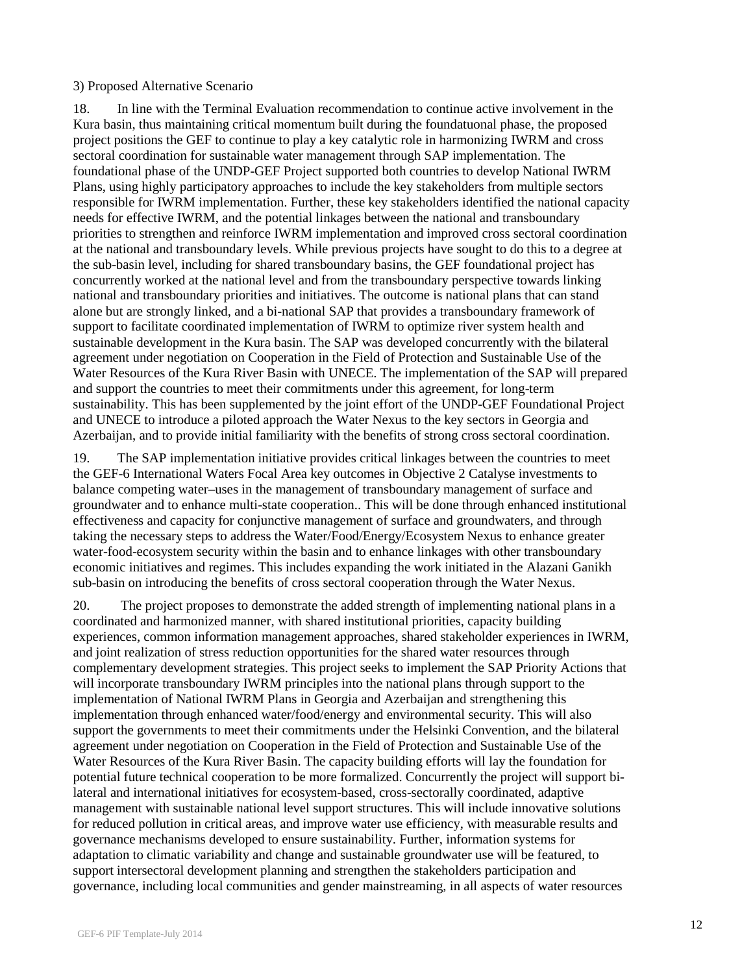#### 3) Proposed Alternative Scenario

18. In line with the Terminal Evaluation recommendation to continue active involvement in the Kura basin, thus maintaining critical momentum built during the foundatuonal phase, the proposed project positions the GEF to continue to play a key catalytic role in harmonizing IWRM and cross sectoral coordination for sustainable water management through SAP implementation. The foundational phase of the UNDP-GEF Project supported both countries to develop National IWRM Plans, using highly participatory approaches to include the key stakeholders from multiple sectors responsible for IWRM implementation. Further, these key stakeholders identified the national capacity needs for effective IWRM, and the potential linkages between the national and transboundary priorities to strengthen and reinforce IWRM implementation and improved cross sectoral coordination at the national and transboundary levels. While previous projects have sought to do this to a degree at the sub-basin level, including for shared transboundary basins, the GEF foundational project has concurrently worked at the national level and from the transboundary perspective towards linking national and transboundary priorities and initiatives. The outcome is national plans that can stand alone but are strongly linked, and a bi-national SAP that provides a transboundary framework of support to facilitate coordinated implementation of IWRM to optimize river system health and sustainable development in the Kura basin. The SAP was developed concurrently with the bilateral agreement under negotiation on Cooperation in the Field of Protection and Sustainable Use of the Water Resources of the Kura River Basin with UNECE. The implementation of the SAP will prepared and support the countries to meet their commitments under this agreement, for long-term sustainability. This has been supplemented by the joint effort of the UNDP-GEF Foundational Project and UNECE to introduce a piloted approach the Water Nexus to the key sectors in Georgia and Azerbaijan, and to provide initial familiarity with the benefits of strong cross sectoral coordination.

19. The SAP implementation initiative provides critical linkages between the countries to meet the GEF-6 International Waters Focal Area key outcomes in Objective 2 Catalyse investments to balance competing water–uses in the management of transboundary management of surface and groundwater and to enhance multi-state cooperation.. This will be done through enhanced institutional effectiveness and capacity for conjunctive management of surface and groundwaters, and through taking the necessary steps to address the Water/Food/Energy/Ecosystem Nexus to enhance greater water-food-ecosystem security within the basin and to enhance linkages with other transboundary economic initiatives and regimes. This includes expanding the work initiated in the Alazani Ganikh sub-basin on introducing the benefits of cross sectoral cooperation through the Water Nexus.

20. The project proposes to demonstrate the added strength of implementing national plans in a coordinated and harmonized manner, with shared institutional priorities, capacity building experiences, common information management approaches, shared stakeholder experiences in IWRM, and joint realization of stress reduction opportunities for the shared water resources through complementary development strategies. This project seeks to implement the SAP Priority Actions that will incorporate transboundary IWRM principles into the national plans through support to the implementation of National IWRM Plans in Georgia and Azerbaijan and strengthening this implementation through enhanced water/food/energy and environmental security. This will also support the governments to meet their commitments under the Helsinki Convention, and the bilateral agreement under negotiation on Cooperation in the Field of Protection and Sustainable Use of the Water Resources of the Kura River Basin. The capacity building efforts will lay the foundation for potential future technical cooperation to be more formalized. Concurrently the project will support bilateral and international initiatives for ecosystem-based, cross-sectorally coordinated, adaptive management with sustainable national level support structures. This will include innovative solutions for reduced pollution in critical areas, and improve water use efficiency, with measurable results and governance mechanisms developed to ensure sustainability. Further, information systems for adaptation to climatic variability and change and sustainable groundwater use will be featured, to support intersectoral development planning and strengthen the stakeholders participation and governance, including local communities and gender mainstreaming, in all aspects of water resources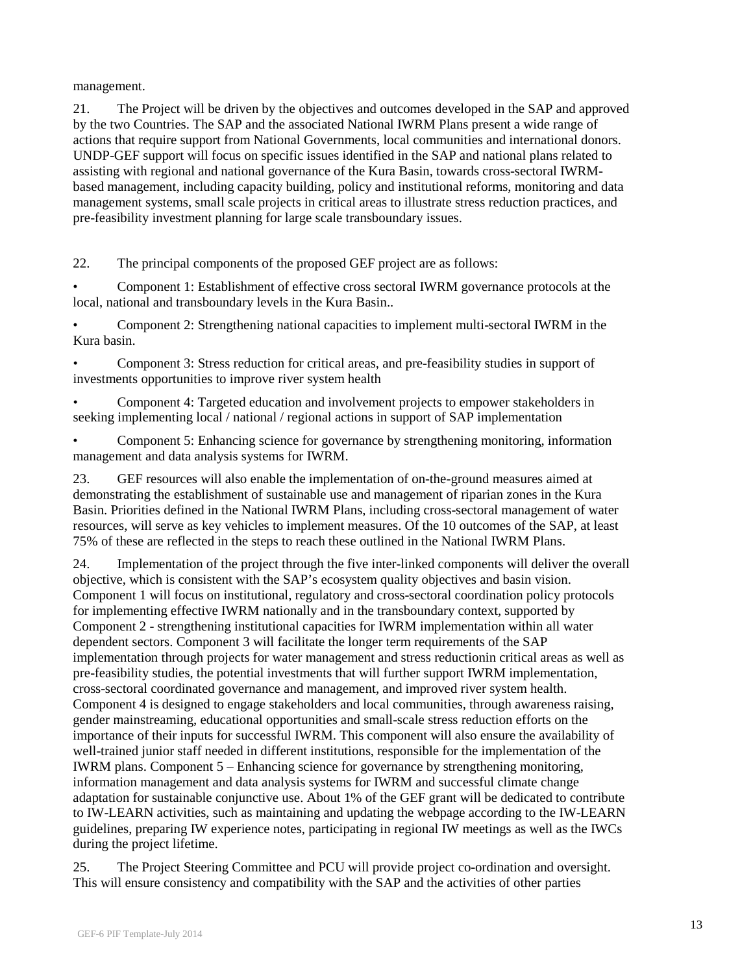management.

21. The Project will be driven by the objectives and outcomes developed in the SAP and approved by the two Countries. The SAP and the associated National IWRM Plans present a wide range of actions that require support from National Governments, local communities and international donors. UNDP-GEF support will focus on specific issues identified in the SAP and national plans related to assisting with regional and national governance of the Kura Basin, towards cross-sectoral IWRMbased management, including capacity building, policy and institutional reforms, monitoring and data management systems, small scale projects in critical areas to illustrate stress reduction practices, and pre-feasibility investment planning for large scale transboundary issues.

22. The principal components of the proposed GEF project are as follows:

• Component 1: Establishment of effective cross sectoral IWRM governance protocols at the local, national and transboundary levels in the Kura Basin..

• Component 2: Strengthening national capacities to implement multi-sectoral IWRM in the Kura basin.

• Component 3: Stress reduction for critical areas, and pre-feasibility studies in support of investments opportunities to improve river system health

• Component 4: Targeted education and involvement projects to empower stakeholders in seeking implementing local / national / regional actions in support of SAP implementation

• Component 5: Enhancing science for governance by strengthening monitoring, information management and data analysis systems for IWRM.

23. GEF resources will also enable the implementation of on-the-ground measures aimed at demonstrating the establishment of sustainable use and management of riparian zones in the Kura Basin. Priorities defined in the National IWRM Plans, including cross-sectoral management of water resources, will serve as key vehicles to implement measures. Of the 10 outcomes of the SAP, at least 75% of these are reflected in the steps to reach these outlined in the National IWRM Plans.

24. Implementation of the project through the five inter-linked components will deliver the overall objective, which is consistent with the SAP's ecosystem quality objectives and basin vision. Component 1 will focus on institutional, regulatory and cross-sectoral coordination policy protocols for implementing effective IWRM nationally and in the transboundary context, supported by Component 2 - strengthening institutional capacities for IWRM implementation within all water dependent sectors. Component 3 will facilitate the longer term requirements of the SAP implementation through projects for water management and stress reductionin critical areas as well as pre-feasibility studies, the potential investments that will further support IWRM implementation, cross-sectoral coordinated governance and management, and improved river system health. Component 4 is designed to engage stakeholders and local communities, through awareness raising, gender mainstreaming, educational opportunities and small-scale stress reduction efforts on the importance of their inputs for successful IWRM. This component will also ensure the availability of well-trained junior staff needed in different institutions, responsible for the implementation of the IWRM plans. Component 5 – Enhancing science for governance by strengthening monitoring, information management and data analysis systems for IWRM and successful climate change adaptation for sustainable conjunctive use. About 1% of the GEF grant will be dedicated to contribute to IW-LEARN activities, such as maintaining and updating the webpage according to the IW-LEARN guidelines, preparing IW experience notes, participating in regional IW meetings as well as the IWCs during the project lifetime.

25. The Project Steering Committee and PCU will provide project co-ordination and oversight. This will ensure consistency and compatibility with the SAP and the activities of other parties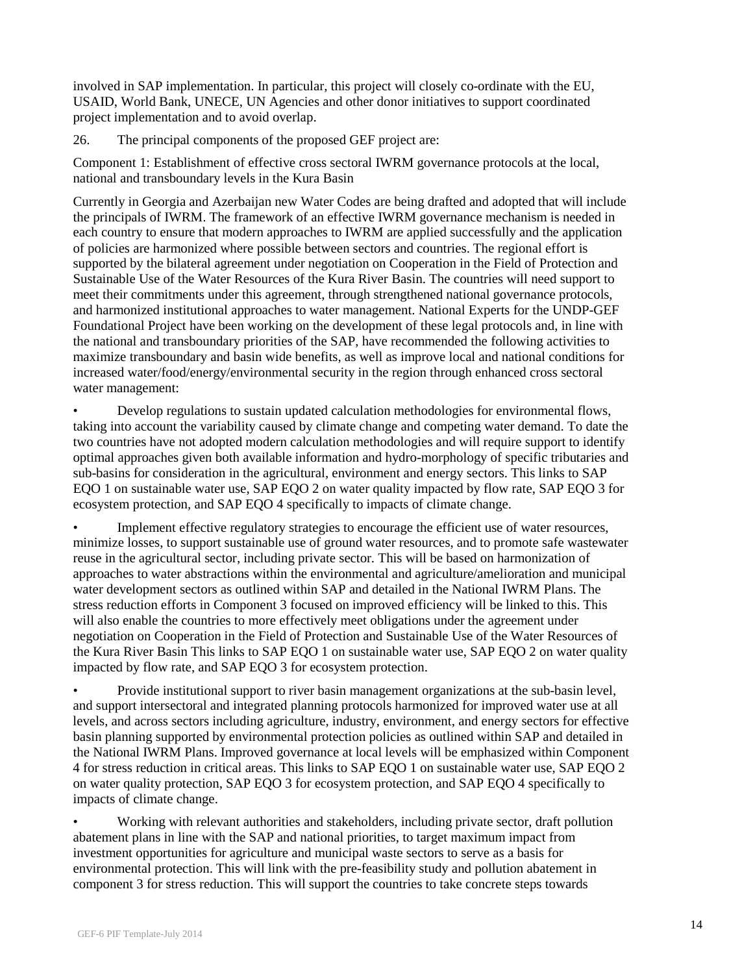involved in SAP implementation. In particular, this project will closely co-ordinate with the EU, USAID, World Bank, UNECE, UN Agencies and other donor initiatives to support coordinated project implementation and to avoid overlap.

26. The principal components of the proposed GEF project are:

Component 1: Establishment of effective cross sectoral IWRM governance protocols at the local, national and transboundary levels in the Kura Basin

Currently in Georgia and Azerbaijan new Water Codes are being drafted and adopted that will include the principals of IWRM. The framework of an effective IWRM governance mechanism is needed in each country to ensure that modern approaches to IWRM are applied successfully and the application of policies are harmonized where possible between sectors and countries. The regional effort is supported by the bilateral agreement under negotiation on Cooperation in the Field of Protection and Sustainable Use of the Water Resources of the Kura River Basin. The countries will need support to meet their commitments under this agreement, through strengthened national governance protocols, and harmonized institutional approaches to water management. National Experts for the UNDP-GEF Foundational Project have been working on the development of these legal protocols and, in line with the national and transboundary priorities of the SAP, have recommended the following activities to maximize transboundary and basin wide benefits, as well as improve local and national conditions for increased water/food/energy/environmental security in the region through enhanced cross sectoral water management:

• Develop regulations to sustain updated calculation methodologies for environmental flows, taking into account the variability caused by climate change and competing water demand. To date the two countries have not adopted modern calculation methodologies and will require support to identify optimal approaches given both available information and hydro-morphology of specific tributaries and sub-basins for consideration in the agricultural, environment and energy sectors. This links to SAP EQO 1 on sustainable water use, SAP EQO 2 on water quality impacted by flow rate, SAP EQO 3 for ecosystem protection, and SAP EQO 4 specifically to impacts of climate change.

• Implement effective regulatory strategies to encourage the efficient use of water resources, minimize losses, to support sustainable use of ground water resources, and to promote safe wastewater reuse in the agricultural sector, including private sector. This will be based on harmonization of approaches to water abstractions within the environmental and agriculture/amelioration and municipal water development sectors as outlined within SAP and detailed in the National IWRM Plans. The stress reduction efforts in Component 3 focused on improved efficiency will be linked to this. This will also enable the countries to more effectively meet obligations under the agreement under negotiation on Cooperation in the Field of Protection and Sustainable Use of the Water Resources of the Kura River Basin This links to SAP EQO 1 on sustainable water use, SAP EQO 2 on water quality impacted by flow rate, and SAP EQO 3 for ecosystem protection.

• Provide institutional support to river basin management organizations at the sub-basin level, and support intersectoral and integrated planning protocols harmonized for improved water use at all levels, and across sectors including agriculture, industry, environment, and energy sectors for effective basin planning supported by environmental protection policies as outlined within SAP and detailed in the National IWRM Plans. Improved governance at local levels will be emphasized within Component 4 for stress reduction in critical areas. This links to SAP EQO 1 on sustainable water use, SAP EQO 2 on water quality protection, SAP EQO 3 for ecosystem protection, and SAP EQO 4 specifically to impacts of climate change.

• Working with relevant authorities and stakeholders, including private sector, draft pollution abatement plans in line with the SAP and national priorities, to target maximum impact from investment opportunities for agriculture and municipal waste sectors to serve as a basis for environmental protection. This will link with the pre-feasibility study and pollution abatement in component 3 for stress reduction. This will support the countries to take concrete steps towards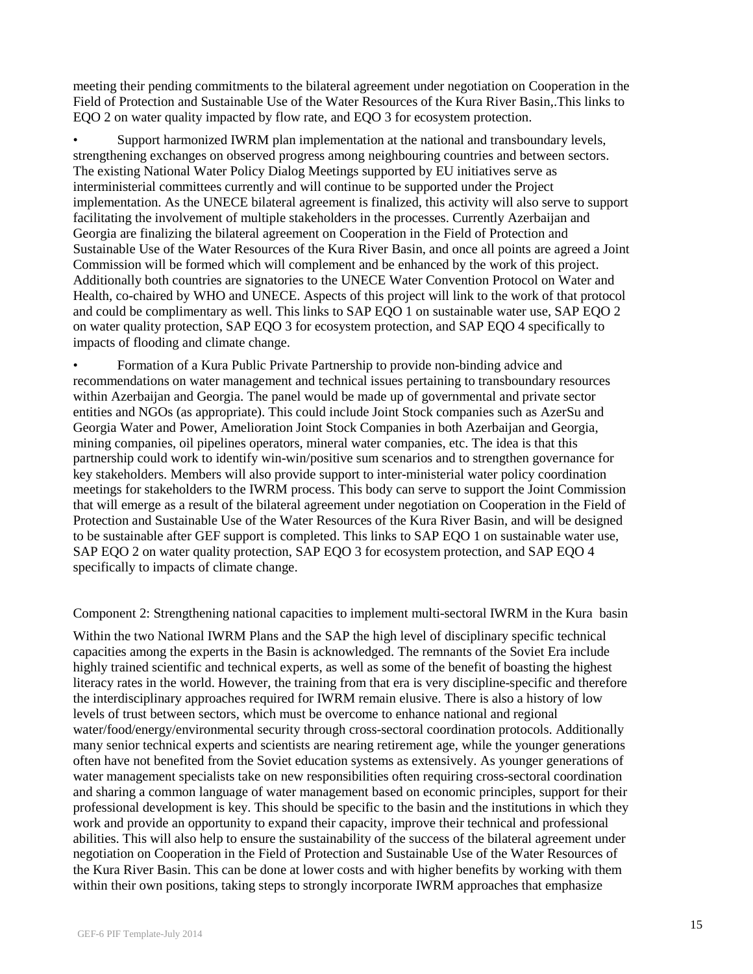meeting their pending commitments to the bilateral agreement under negotiation on Cooperation in the Field of Protection and Sustainable Use of the Water Resources of the Kura River Basin,.This links to EQO 2 on water quality impacted by flow rate, and EQO 3 for ecosystem protection.

• Support harmonized IWRM plan implementation at the national and transboundary levels, strengthening exchanges on observed progress among neighbouring countries and between sectors. The existing National Water Policy Dialog Meetings supported by EU initiatives serve as interministerial committees currently and will continue to be supported under the Project implementation. As the UNECE bilateral agreement is finalized, this activity will also serve to support facilitating the involvement of multiple stakeholders in the processes. Currently Azerbaijan and Georgia are finalizing the bilateral agreement on Cooperation in the Field of Protection and Sustainable Use of the Water Resources of the Kura River Basin, and once all points are agreed a Joint Commission will be formed which will complement and be enhanced by the work of this project. Additionally both countries are signatories to the UNECE Water Convention Protocol on Water and Health, co-chaired by WHO and UNECE. Aspects of this project will link to the work of that protocol and could be complimentary as well. This links to SAP EQO 1 on sustainable water use, SAP EQO 2 on water quality protection, SAP EQO 3 for ecosystem protection, and SAP EQO 4 specifically to impacts of flooding and climate change.

• Formation of a Kura Public Private Partnership to provide non-binding advice and recommendations on water management and technical issues pertaining to transboundary resources within Azerbaijan and Georgia. The panel would be made up of governmental and private sector entities and NGOs (as appropriate). This could include Joint Stock companies such as AzerSu and Georgia Water and Power, Amelioration Joint Stock Companies in both Azerbaijan and Georgia, mining companies, oil pipelines operators, mineral water companies, etc. The idea is that this partnership could work to identify win-win/positive sum scenarios and to strengthen governance for key stakeholders. Members will also provide support to inter-ministerial water policy coordination meetings for stakeholders to the IWRM process. This body can serve to support the Joint Commission that will emerge as a result of the bilateral agreement under negotiation on Cooperation in the Field of Protection and Sustainable Use of the Water Resources of the Kura River Basin, and will be designed to be sustainable after GEF support is completed. This links to SAP EQO 1 on sustainable water use, SAP EQO 2 on water quality protection, SAP EQO 3 for ecosystem protection, and SAP EQO 4 specifically to impacts of climate change.

Component 2: Strengthening national capacities to implement multi-sectoral IWRM in the Kura basin

Within the two National IWRM Plans and the SAP the high level of disciplinary specific technical capacities among the experts in the Basin is acknowledged. The remnants of the Soviet Era include highly trained scientific and technical experts, as well as some of the benefit of boasting the highest literacy rates in the world. However, the training from that era is very discipline-specific and therefore the interdisciplinary approaches required for IWRM remain elusive. There is also a history of low levels of trust between sectors, which must be overcome to enhance national and regional water/food/energy/environmental security through cross-sectoral coordination protocols. Additionally many senior technical experts and scientists are nearing retirement age, while the younger generations often have not benefited from the Soviet education systems as extensively. As younger generations of water management specialists take on new responsibilities often requiring cross-sectoral coordination and sharing a common language of water management based on economic principles, support for their professional development is key. This should be specific to the basin and the institutions in which they work and provide an opportunity to expand their capacity, improve their technical and professional abilities. This will also help to ensure the sustainability of the success of the bilateral agreement under negotiation on Cooperation in the Field of Protection and Sustainable Use of the Water Resources of the Kura River Basin. This can be done at lower costs and with higher benefits by working with them within their own positions, taking steps to strongly incorporate IWRM approaches that emphasize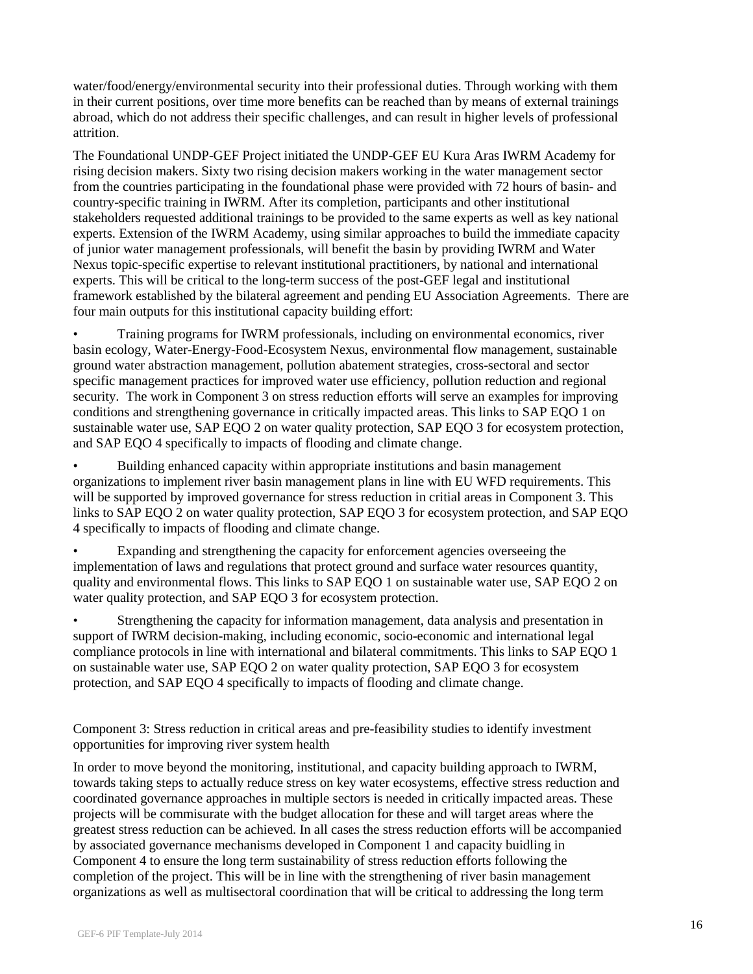water/food/energy/environmental security into their professional duties. Through working with them in their current positions, over time more benefits can be reached than by means of external trainings abroad, which do not address their specific challenges, and can result in higher levels of professional attrition.

The Foundational UNDP-GEF Project initiated the UNDP-GEF EU Kura Aras IWRM Academy for rising decision makers. Sixty two rising decision makers working in the water management sector from the countries participating in the foundational phase were provided with 72 hours of basin- and country-specific training in IWRM. After its completion, participants and other institutional stakeholders requested additional trainings to be provided to the same experts as well as key national experts. Extension of the IWRM Academy, using similar approaches to build the immediate capacity of junior water management professionals, will benefit the basin by providing IWRM and Water Nexus topic-specific expertise to relevant institutional practitioners, by national and international experts. This will be critical to the long-term success of the post-GEF legal and institutional framework established by the bilateral agreement and pending EU Association Agreements. There are four main outputs for this institutional capacity building effort:

• Training programs for IWRM professionals, including on environmental economics, river basin ecology, Water-Energy-Food-Ecosystem Nexus, environmental flow management, sustainable ground water abstraction management, pollution abatement strategies, cross-sectoral and sector specific management practices for improved water use efficiency, pollution reduction and regional security. The work in Component 3 on stress reduction efforts will serve an examples for improving conditions and strengthening governance in critically impacted areas. This links to SAP EQO 1 on sustainable water use, SAP EQO 2 on water quality protection, SAP EQO 3 for ecosystem protection, and SAP EQO 4 specifically to impacts of flooding and climate change.

• Building enhanced capacity within appropriate institutions and basin management organizations to implement river basin management plans in line with EU WFD requirements. This will be supported by improved governance for stress reduction in critial areas in Component 3. This links to SAP EQO 2 on water quality protection, SAP EQO 3 for ecosystem protection, and SAP EQO 4 specifically to impacts of flooding and climate change.

Expanding and strengthening the capacity for enforcement agencies overseeing the implementation of laws and regulations that protect ground and surface water resources quantity, quality and environmental flows. This links to SAP EQO 1 on sustainable water use, SAP EQO 2 on water quality protection, and SAP EQO 3 for ecosystem protection.

• Strengthening the capacity for information management, data analysis and presentation in support of IWRM decision-making, including economic, socio-economic and international legal compliance protocols in line with international and bilateral commitments. This links to SAP EQO 1 on sustainable water use, SAP EQO 2 on water quality protection, SAP EQO 3 for ecosystem protection, and SAP EQO 4 specifically to impacts of flooding and climate change.

Component 3: Stress reduction in critical areas and pre-feasibility studies to identify investment opportunities for improving river system health

In order to move beyond the monitoring, institutional, and capacity building approach to IWRM, towards taking steps to actually reduce stress on key water ecosystems, effective stress reduction and coordinated governance approaches in multiple sectors is needed in critically impacted areas. These projects will be commisurate with the budget allocation for these and will target areas where the greatest stress reduction can be achieved. In all cases the stress reduction efforts will be accompanied by associated governance mechanisms developed in Component 1 and capacity buidling in Component 4 to ensure the long term sustainability of stress reduction efforts following the completion of the project. This will be in line with the strengthening of river basin management organizations as well as multisectoral coordination that will be critical to addressing the long term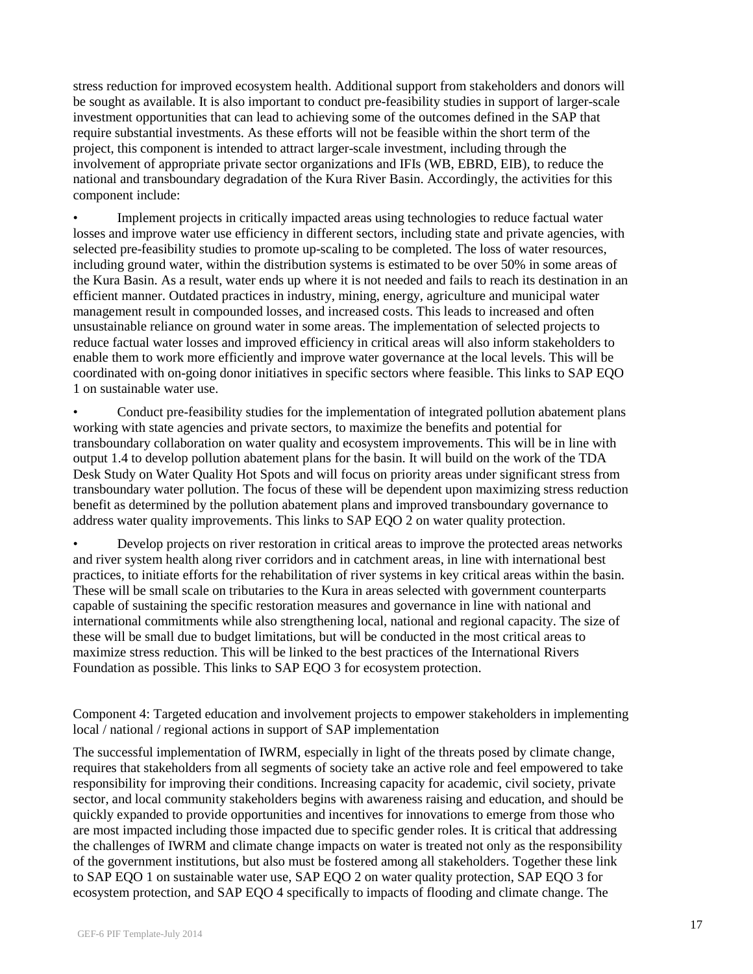stress reduction for improved ecosystem health. Additional support from stakeholders and donors will be sought as available. It is also important to conduct pre-feasibility studies in support of larger-scale investment opportunities that can lead to achieving some of the outcomes defined in the SAP that require substantial investments. As these efforts will not be feasible within the short term of the project, this component is intended to attract larger-scale investment, including through the involvement of appropriate private sector organizations and IFIs (WB, EBRD, EIB), to reduce the national and transboundary degradation of the Kura River Basin. Accordingly, the activities for this component include:

• Implement projects in critically impacted areas using technologies to reduce factual water losses and improve water use efficiency in different sectors, including state and private agencies, with selected pre-feasibility studies to promote up-scaling to be completed. The loss of water resources, including ground water, within the distribution systems is estimated to be over 50% in some areas of the Kura Basin. As a result, water ends up where it is not needed and fails to reach its destination in an efficient manner. Outdated practices in industry, mining, energy, agriculture and municipal water management result in compounded losses, and increased costs. This leads to increased and often unsustainable reliance on ground water in some areas. The implementation of selected projects to reduce factual water losses and improved efficiency in critical areas will also inform stakeholders to enable them to work more efficiently and improve water governance at the local levels. This will be coordinated with on-going donor initiatives in specific sectors where feasible. This links to SAP EQO 1 on sustainable water use.

• Conduct pre-feasibility studies for the implementation of integrated pollution abatement plans working with state agencies and private sectors, to maximize the benefits and potential for transboundary collaboration on water quality and ecosystem improvements. This will be in line with output 1.4 to develop pollution abatement plans for the basin. It will build on the work of the TDA Desk Study on Water Quality Hot Spots and will focus on priority areas under significant stress from transboundary water pollution. The focus of these will be dependent upon maximizing stress reduction benefit as determined by the pollution abatement plans and improved transboundary governance to address water quality improvements. This links to SAP EQO 2 on water quality protection.

• Develop projects on river restoration in critical areas to improve the protected areas networks and river system health along river corridors and in catchment areas, in line with international best practices, to initiate efforts for the rehabilitation of river systems in key critical areas within the basin. These will be small scale on tributaries to the Kura in areas selected with government counterparts capable of sustaining the specific restoration measures and governance in line with national and international commitments while also strengthening local, national and regional capacity. The size of these will be small due to budget limitations, but will be conducted in the most critical areas to maximize stress reduction. This will be linked to the best practices of the International Rivers Foundation as possible. This links to SAP EQO 3 for ecosystem protection.

Component 4: Targeted education and involvement projects to empower stakeholders in implementing local / national / regional actions in support of SAP implementation

The successful implementation of IWRM, especially in light of the threats posed by climate change, requires that stakeholders from all segments of society take an active role and feel empowered to take responsibility for improving their conditions. Increasing capacity for academic, civil society, private sector, and local community stakeholders begins with awareness raising and education, and should be quickly expanded to provide opportunities and incentives for innovations to emerge from those who are most impacted including those impacted due to specific gender roles. It is critical that addressing the challenges of IWRM and climate change impacts on water is treated not only as the responsibility of the government institutions, but also must be fostered among all stakeholders. Together these link to SAP EQO 1 on sustainable water use, SAP EQO 2 on water quality protection, SAP EQO 3 for ecosystem protection, and SAP EQO 4 specifically to impacts of flooding and climate change. The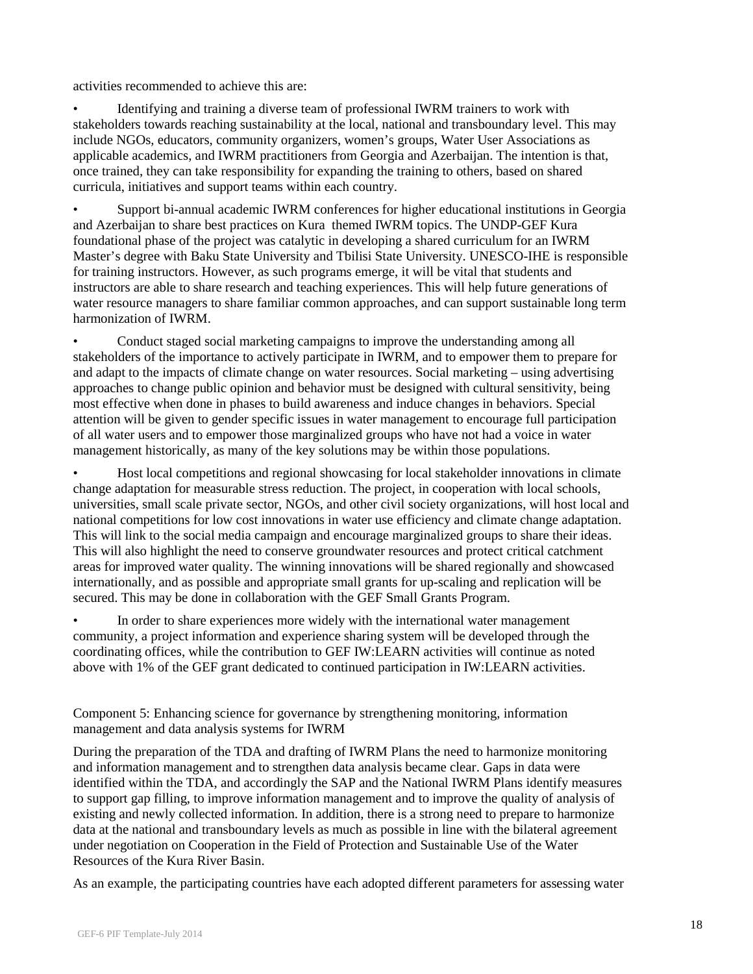activities recommended to achieve this are:

• Identifying and training a diverse team of professional IWRM trainers to work with stakeholders towards reaching sustainability at the local, national and transboundary level. This may include NGOs, educators, community organizers, women's groups, Water User Associations as applicable academics, and IWRM practitioners from Georgia and Azerbaijan. The intention is that, once trained, they can take responsibility for expanding the training to others, based on shared curricula, initiatives and support teams within each country.

• Support bi-annual academic IWRM conferences for higher educational institutions in Georgia and Azerbaijan to share best practices on Kura themed IWRM topics. The UNDP-GEF Kura foundational phase of the project was catalytic in developing a shared curriculum for an IWRM Master's degree with Baku State University and Tbilisi State University. UNESCO-IHE is responsible for training instructors. However, as such programs emerge, it will be vital that students and instructors are able to share research and teaching experiences. This will help future generations of water resource managers to share familiar common approaches, and can support sustainable long term harmonization of IWRM.

• Conduct staged social marketing campaigns to improve the understanding among all stakeholders of the importance to actively participate in IWRM, and to empower them to prepare for and adapt to the impacts of climate change on water resources. Social marketing – using advertising approaches to change public opinion and behavior must be designed with cultural sensitivity, being most effective when done in phases to build awareness and induce changes in behaviors. Special attention will be given to gender specific issues in water management to encourage full participation of all water users and to empower those marginalized groups who have not had a voice in water management historically, as many of the key solutions may be within those populations.

• Host local competitions and regional showcasing for local stakeholder innovations in climate change adaptation for measurable stress reduction. The project, in cooperation with local schools, universities, small scale private sector, NGOs, and other civil society organizations, will host local and national competitions for low cost innovations in water use efficiency and climate change adaptation. This will link to the social media campaign and encourage marginalized groups to share their ideas. This will also highlight the need to conserve groundwater resources and protect critical catchment areas for improved water quality. The winning innovations will be shared regionally and showcased internationally, and as possible and appropriate small grants for up-scaling and replication will be secured. This may be done in collaboration with the GEF Small Grants Program.

• In order to share experiences more widely with the international water management community, a project information and experience sharing system will be developed through the coordinating offices, while the contribution to GEF IW:LEARN activities will continue as noted above with 1% of the GEF grant dedicated to continued participation in IW:LEARN activities.

Component 5: Enhancing science for governance by strengthening monitoring, information management and data analysis systems for IWRM

During the preparation of the TDA and drafting of IWRM Plans the need to harmonize monitoring and information management and to strengthen data analysis became clear. Gaps in data were identified within the TDA, and accordingly the SAP and the National IWRM Plans identify measures to support gap filling, to improve information management and to improve the quality of analysis of existing and newly collected information. In addition, there is a strong need to prepare to harmonize data at the national and transboundary levels as much as possible in line with the bilateral agreement under negotiation on Cooperation in the Field of Protection and Sustainable Use of the Water Resources of the Kura River Basin.

As an example, the participating countries have each adopted different parameters for assessing water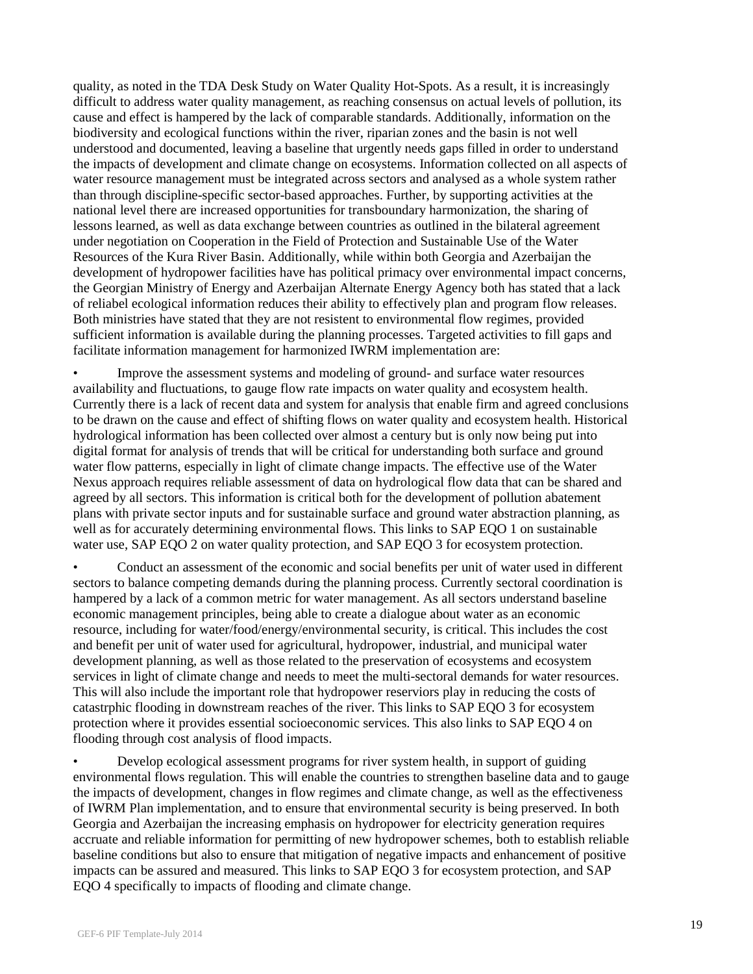quality, as noted in the TDA Desk Study on Water Quality Hot-Spots. As a result, it is increasingly difficult to address water quality management, as reaching consensus on actual levels of pollution, its cause and effect is hampered by the lack of comparable standards. Additionally, information on the biodiversity and ecological functions within the river, riparian zones and the basin is not well understood and documented, leaving a baseline that urgently needs gaps filled in order to understand the impacts of development and climate change on ecosystems. Information collected on all aspects of water resource management must be integrated across sectors and analysed as a whole system rather than through discipline-specific sector-based approaches. Further, by supporting activities at the national level there are increased opportunities for transboundary harmonization, the sharing of lessons learned, as well as data exchange between countries as outlined in the bilateral agreement under negotiation on Cooperation in the Field of Protection and Sustainable Use of the Water Resources of the Kura River Basin. Additionally, while within both Georgia and Azerbaijan the development of hydropower facilities have has political primacy over environmental impact concerns, the Georgian Ministry of Energy and Azerbaijan Alternate Energy Agency both has stated that a lack of reliabel ecological information reduces their ability to effectively plan and program flow releases. Both ministries have stated that they are not resistent to environmental flow regimes, provided sufficient information is available during the planning processes. Targeted activities to fill gaps and facilitate information management for harmonized IWRM implementation are:

• Improve the assessment systems and modeling of ground- and surface water resources availability and fluctuations, to gauge flow rate impacts on water quality and ecosystem health. Currently there is a lack of recent data and system for analysis that enable firm and agreed conclusions to be drawn on the cause and effect of shifting flows on water quality and ecosystem health. Historical hydrological information has been collected over almost a century but is only now being put into digital format for analysis of trends that will be critical for understanding both surface and ground water flow patterns, especially in light of climate change impacts. The effective use of the Water Nexus approach requires reliable assessment of data on hydrological flow data that can be shared and agreed by all sectors. This information is critical both for the development of pollution abatement plans with private sector inputs and for sustainable surface and ground water abstraction planning, as well as for accurately determining environmental flows. This links to SAP EQO 1 on sustainable water use, SAP EQO 2 on water quality protection, and SAP EQO 3 for ecosystem protection.

• Conduct an assessment of the economic and social benefits per unit of water used in different sectors to balance competing demands during the planning process. Currently sectoral coordination is hampered by a lack of a common metric for water management. As all sectors understand baseline economic management principles, being able to create a dialogue about water as an economic resource, including for water/food/energy/environmental security, is critical. This includes the cost and benefit per unit of water used for agricultural, hydropower, industrial, and municipal water development planning, as well as those related to the preservation of ecosystems and ecosystem services in light of climate change and needs to meet the multi-sectoral demands for water resources. This will also include the important role that hydropower reserviors play in reducing the costs of catastrphic flooding in downstream reaches of the river. This links to SAP EQO 3 for ecosystem protection where it provides essential socioeconomic services. This also links to SAP EQO 4 on flooding through cost analysis of flood impacts.

• Develop ecological assessment programs for river system health, in support of guiding environmental flows regulation. This will enable the countries to strengthen baseline data and to gauge the impacts of development, changes in flow regimes and climate change, as well as the effectiveness of IWRM Plan implementation, and to ensure that environmental security is being preserved. In both Georgia and Azerbaijan the increasing emphasis on hydropower for electricity generation requires accruate and reliable information for permitting of new hydropower schemes, both to establish reliable baseline conditions but also to ensure that mitigation of negative impacts and enhancement of positive impacts can be assured and measured. This links to SAP EQO 3 for ecosystem protection, and SAP EQO 4 specifically to impacts of flooding and climate change.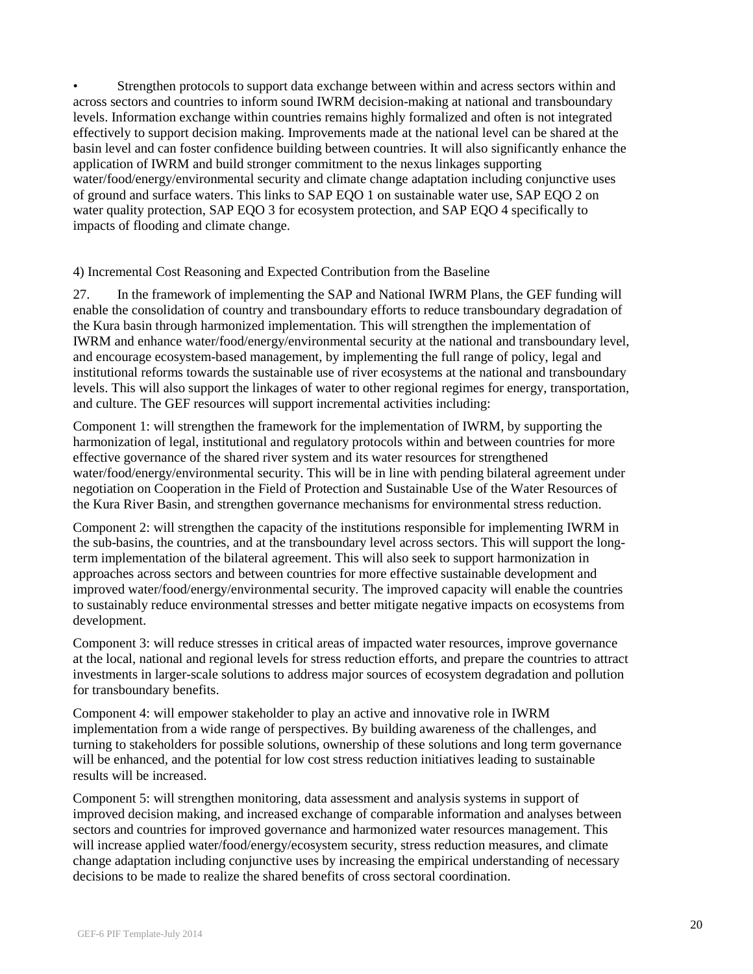• Strengthen protocols to support data exchange between within and acress sectors within and across sectors and countries to inform sound IWRM decision-making at national and transboundary levels. Information exchange within countries remains highly formalized and often is not integrated effectively to support decision making. Improvements made at the national level can be shared at the basin level and can foster confidence building between countries. It will also significantly enhance the application of IWRM and build stronger commitment to the nexus linkages supporting water/food/energy/environmental security and climate change adaptation including conjunctive uses of ground and surface waters. This links to SAP EQO 1 on sustainable water use, SAP EQO 2 on water quality protection, SAP EQO 3 for ecosystem protection, and SAP EQO 4 specifically to impacts of flooding and climate change.

## 4) Incremental Cost Reasoning and Expected Contribution from the Baseline

27. In the framework of implementing the SAP and National IWRM Plans, the GEF funding will enable the consolidation of country and transboundary efforts to reduce transboundary degradation of the Kura basin through harmonized implementation. This will strengthen the implementation of IWRM and enhance water/food/energy/environmental security at the national and transboundary level, and encourage ecosystem-based management, by implementing the full range of policy, legal and institutional reforms towards the sustainable use of river ecosystems at the national and transboundary levels. This will also support the linkages of water to other regional regimes for energy, transportation, and culture. The GEF resources will support incremental activities including:

Component 1: will strengthen the framework for the implementation of IWRM, by supporting the harmonization of legal, institutional and regulatory protocols within and between countries for more effective governance of the shared river system and its water resources for strengthened water/food/energy/environmental security. This will be in line with pending bilateral agreement under negotiation on Cooperation in the Field of Protection and Sustainable Use of the Water Resources of the Kura River Basin, and strengthen governance mechanisms for environmental stress reduction.

Component 2: will strengthen the capacity of the institutions responsible for implementing IWRM in the sub-basins, the countries, and at the transboundary level across sectors. This will support the longterm implementation of the bilateral agreement. This will also seek to support harmonization in approaches across sectors and between countries for more effective sustainable development and improved water/food/energy/environmental security. The improved capacity will enable the countries to sustainably reduce environmental stresses and better mitigate negative impacts on ecosystems from development.

Component 3: will reduce stresses in critical areas of impacted water resources, improve governance at the local, national and regional levels for stress reduction efforts, and prepare the countries to attract investments in larger-scale solutions to address major sources of ecosystem degradation and pollution for transboundary benefits.

Component 4: will empower stakeholder to play an active and innovative role in IWRM implementation from a wide range of perspectives. By building awareness of the challenges, and turning to stakeholders for possible solutions, ownership of these solutions and long term governance will be enhanced, and the potential for low cost stress reduction initiatives leading to sustainable results will be increased.

Component 5: will strengthen monitoring, data assessment and analysis systems in support of improved decision making, and increased exchange of comparable information and analyses between sectors and countries for improved governance and harmonized water resources management. This will increase applied water/food/energy/ecosystem security, stress reduction measures, and climate change adaptation including conjunctive uses by increasing the empirical understanding of necessary decisions to be made to realize the shared benefits of cross sectoral coordination.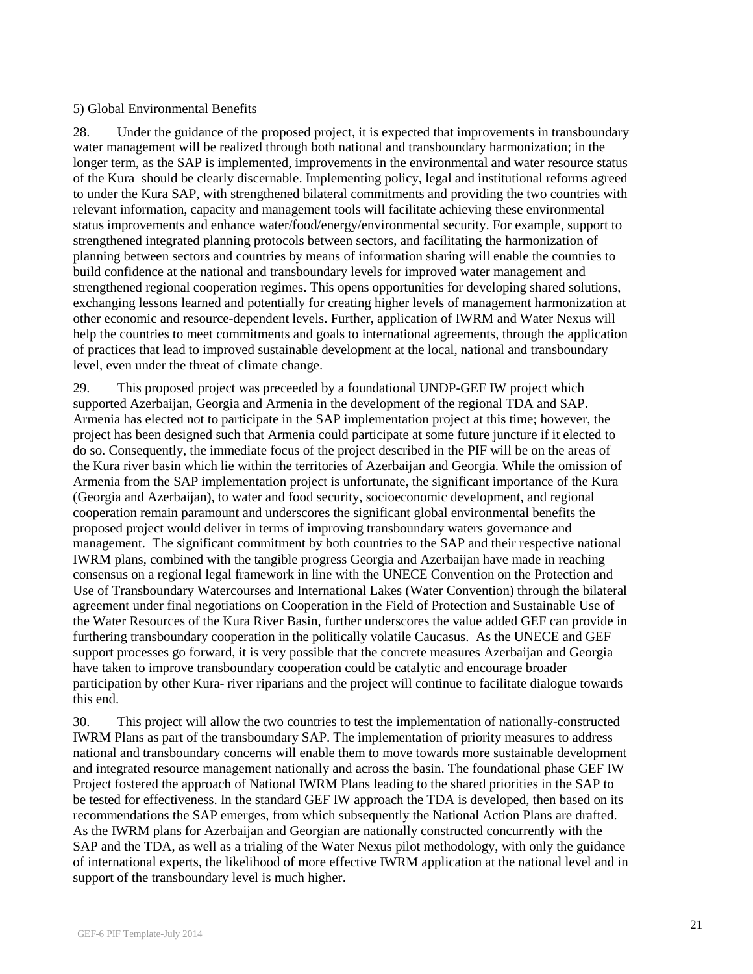### 5) Global Environmental Benefits

28. Under the guidance of the proposed project, it is expected that improvements in transboundary water management will be realized through both national and transboundary harmonization; in the longer term, as the SAP is implemented, improvements in the environmental and water resource status of the Kura should be clearly discernable. Implementing policy, legal and institutional reforms agreed to under the Kura SAP, with strengthened bilateral commitments and providing the two countries with relevant information, capacity and management tools will facilitate achieving these environmental status improvements and enhance water/food/energy/environmental security. For example, support to strengthened integrated planning protocols between sectors, and facilitating the harmonization of planning between sectors and countries by means of information sharing will enable the countries to build confidence at the national and transboundary levels for improved water management and strengthened regional cooperation regimes. This opens opportunities for developing shared solutions, exchanging lessons learned and potentially for creating higher levels of management harmonization at other economic and resource-dependent levels. Further, application of IWRM and Water Nexus will help the countries to meet commitments and goals to international agreements, through the application of practices that lead to improved sustainable development at the local, national and transboundary level, even under the threat of climate change.

29. This proposed project was preceeded by a foundational UNDP-GEF IW project which supported Azerbaijan, Georgia and Armenia in the development of the regional TDA and SAP. Armenia has elected not to participate in the SAP implementation project at this time; however, the project has been designed such that Armenia could participate at some future juncture if it elected to do so. Consequently, the immediate focus of the project described in the PIF will be on the areas of the Kura river basin which lie within the territories of Azerbaijan and Georgia. While the omission of Armenia from the SAP implementation project is unfortunate, the significant importance of the Kura (Georgia and Azerbaijan), to water and food security, socioeconomic development, and regional cooperation remain paramount and underscores the significant global environmental benefits the proposed project would deliver in terms of improving transboundary waters governance and management. The significant commitment by both countries to the SAP and their respective national IWRM plans, combined with the tangible progress Georgia and Azerbaijan have made in reaching consensus on a regional legal framework in line with the UNECE Convention on the Protection and Use of Transboundary Watercourses and International Lakes (Water Convention) through the bilateral agreement under final negotiations on Cooperation in the Field of Protection and Sustainable Use of the Water Resources of the Kura River Basin, further underscores the value added GEF can provide in furthering transboundary cooperation in the politically volatile Caucasus. As the UNECE and GEF support processes go forward, it is very possible that the concrete measures Azerbaijan and Georgia have taken to improve transboundary cooperation could be catalytic and encourage broader participation by other Kura- river riparians and the project will continue to facilitate dialogue towards this end.

30. This project will allow the two countries to test the implementation of nationally-constructed IWRM Plans as part of the transboundary SAP. The implementation of priority measures to address national and transboundary concerns will enable them to move towards more sustainable development and integrated resource management nationally and across the basin. The foundational phase GEF IW Project fostered the approach of National IWRM Plans leading to the shared priorities in the SAP to be tested for effectiveness. In the standard GEF IW approach the TDA is developed, then based on its recommendations the SAP emerges, from which subsequently the National Action Plans are drafted. As the IWRM plans for Azerbaijan and Georgian are nationally constructed concurrently with the SAP and the TDA, as well as a trialing of the Water Nexus pilot methodology, with only the guidance of international experts, the likelihood of more effective IWRM application at the national level and in support of the transboundary level is much higher.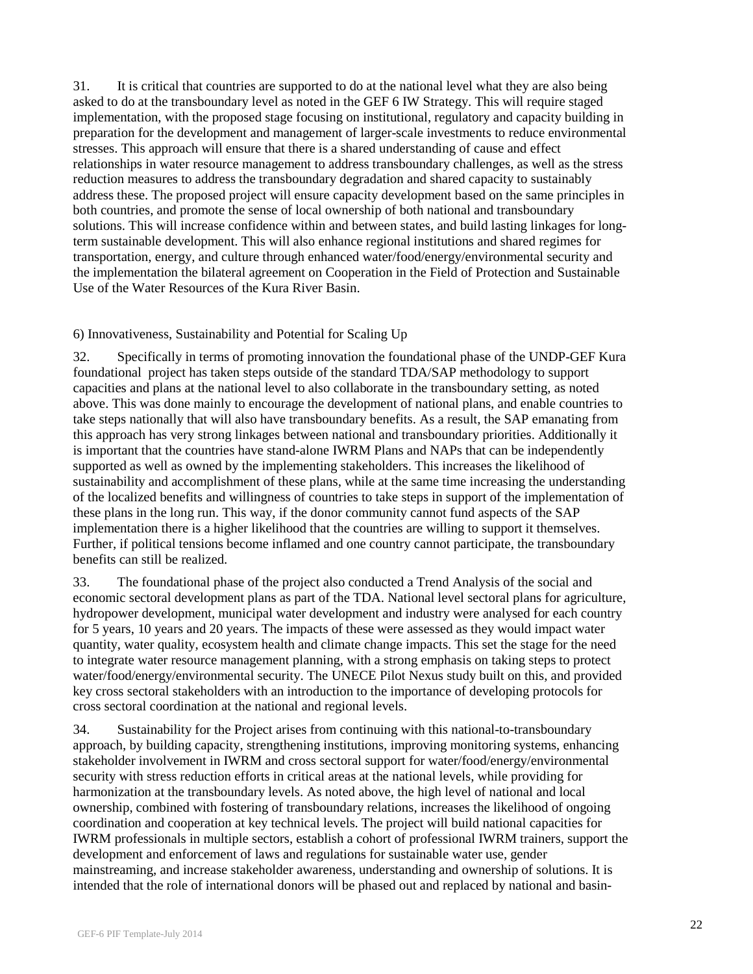31. It is critical that countries are supported to do at the national level what they are also being asked to do at the transboundary level as noted in the GEF 6 IW Strategy. This will require staged implementation, with the proposed stage focusing on institutional, regulatory and capacity building in preparation for the development and management of larger-scale investments to reduce environmental stresses. This approach will ensure that there is a shared understanding of cause and effect relationships in water resource management to address transboundary challenges, as well as the stress reduction measures to address the transboundary degradation and shared capacity to sustainably address these. The proposed project will ensure capacity development based on the same principles in both countries, and promote the sense of local ownership of both national and transboundary solutions. This will increase confidence within and between states, and build lasting linkages for longterm sustainable development. This will also enhance regional institutions and shared regimes for transportation, energy, and culture through enhanced water/food/energy/environmental security and the implementation the bilateral agreement on Cooperation in the Field of Protection and Sustainable Use of the Water Resources of the Kura River Basin.

## 6) Innovativeness, Sustainability and Potential for Scaling Up

32. Specifically in terms of promoting innovation the foundational phase of the UNDP-GEF Kura foundational project has taken steps outside of the standard TDA/SAP methodology to support capacities and plans at the national level to also collaborate in the transboundary setting, as noted above. This was done mainly to encourage the development of national plans, and enable countries to take steps nationally that will also have transboundary benefits. As a result, the SAP emanating from this approach has very strong linkages between national and transboundary priorities. Additionally it is important that the countries have stand-alone IWRM Plans and NAPs that can be independently supported as well as owned by the implementing stakeholders. This increases the likelihood of sustainability and accomplishment of these plans, while at the same time increasing the understanding of the localized benefits and willingness of countries to take steps in support of the implementation of these plans in the long run. This way, if the donor community cannot fund aspects of the SAP implementation there is a higher likelihood that the countries are willing to support it themselves. Further, if political tensions become inflamed and one country cannot participate, the transboundary benefits can still be realized.

33. The foundational phase of the project also conducted a Trend Analysis of the social and economic sectoral development plans as part of the TDA. National level sectoral plans for agriculture, hydropower development, municipal water development and industry were analysed for each country for 5 years, 10 years and 20 years. The impacts of these were assessed as they would impact water quantity, water quality, ecosystem health and climate change impacts. This set the stage for the need to integrate water resource management planning, with a strong emphasis on taking steps to protect water/food/energy/environmental security. The UNECE Pilot Nexus study built on this, and provided key cross sectoral stakeholders with an introduction to the importance of developing protocols for cross sectoral coordination at the national and regional levels.

34. Sustainability for the Project arises from continuing with this national-to-transboundary approach, by building capacity, strengthening institutions, improving monitoring systems, enhancing stakeholder involvement in IWRM and cross sectoral support for water/food/energy/environmental security with stress reduction efforts in critical areas at the national levels, while providing for harmonization at the transboundary levels. As noted above, the high level of national and local ownership, combined with fostering of transboundary relations, increases the likelihood of ongoing coordination and cooperation at key technical levels. The project will build national capacities for IWRM professionals in multiple sectors, establish a cohort of professional IWRM trainers, support the development and enforcement of laws and regulations for sustainable water use, gender mainstreaming, and increase stakeholder awareness, understanding and ownership of solutions. It is intended that the role of international donors will be phased out and replaced by national and basin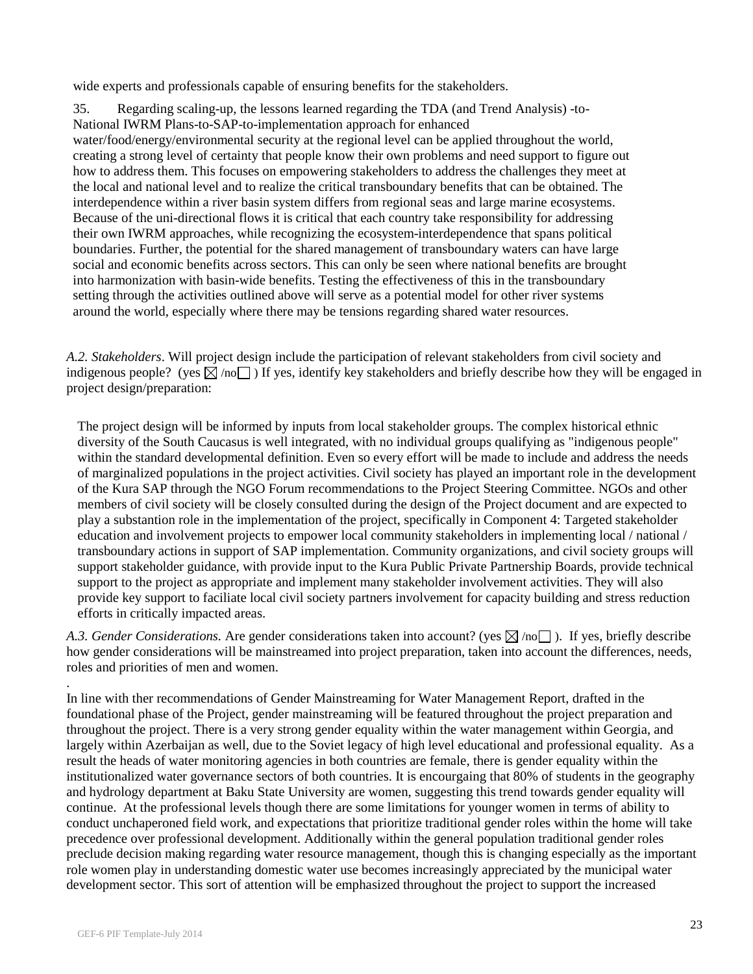wide experts and professionals capable of ensuring benefits for the stakeholders.

35. Regarding scaling-up, the lessons learned regarding the TDA (and Trend Analysis) -to-National IWRM Plans-to-SAP-to-implementation approach for enhanced water/food/energy/environmental security at the regional level can be applied throughout the world, creating a strong level of certainty that people know their own problems and need support to figure out how to address them. This focuses on empowering stakeholders to address the challenges they meet at the local and national level and to realize the critical transboundary benefits that can be obtained. The interdependence within a river basin system differs from regional seas and large marine ecosystems. Because of the uni-directional flows it is critical that each country take responsibility for addressing their own IWRM approaches, while recognizing the ecosystem-interdependence that spans political boundaries. Further, the potential for the shared management of transboundary waters can have large social and economic benefits across sectors. This can only be seen where national benefits are brought into harmonization with basin-wide benefits. Testing the effectiveness of this in the transboundary setting through the activities outlined above will serve as a potential model for other river systems around the world, especially where there may be tensions regarding shared water resources.

*A.2. Stakeholders*. Will project design include the participation of relevant stakeholders from civil society and indigenous people? (yes  $\boxtimes$  /no ) If yes, identify key stakeholders and briefly describe how they will be engaged in project design/preparation:

The project design will be informed by inputs from local stakeholder groups. The complex historical ethnic diversity of the South Caucasus is well integrated, with no individual groups qualifying as "indigenous people" within the standard developmental definition. Even so every effort will be made to include and address the needs of marginalized populations in the project activities. Civil society has played an important role in the development of the Kura SAP through the NGO Forum recommendations to the Project Steering Committee. NGOs and other members of civil society will be closely consulted during the design of the Project document and are expected to play a substantion role in the implementation of the project, specifically in Component 4: Targeted stakeholder education and involvement projects to empower local community stakeholders in implementing local / national / transboundary actions in support of SAP implementation. Community organizations, and civil society groups will support stakeholder guidance, with provide input to the Kura Public Private Partnership Boards, provide technical support to the project as appropriate and implement many stakeholder involvement activities. They will also provide key support to faciliate local civil society partners involvement for capacity building and stress reduction efforts in critically impacted areas.

*A.3. Gender Considerations.* Are gender considerations taken into account? (yes  $\boxtimes$  /no ). If yes, briefly describe how gender considerations will be mainstreamed into project preparation, taken into account the differences, needs, roles and priorities of men and women.

. In line with ther recommendations of Gender Mainstreaming for Water Management Report, drafted in the foundational phase of the Project, gender mainstreaming will be featured throughout the project preparation and throughout the project. There is a very strong gender equality within the water management within Georgia, and largely within Azerbaijan as well, due to the Soviet legacy of high level educational and professional equality. As a result the heads of water monitoring agencies in both countries are female, there is gender equality within the institutionalized water governance sectors of both countries. It is encourgaing that 80% of students in the geography and hydrology department at Baku State University are women, suggesting this trend towards gender equality will continue. At the professional levels though there are some limitations for younger women in terms of ability to conduct unchaperoned field work, and expectations that prioritize traditional gender roles within the home will take precedence over professional development. Additionally within the general population traditional gender roles preclude decision making regarding water resource management, though this is changing especially as the important role women play in understanding domestic water use becomes increasingly appreciated by the municipal water development sector. This sort of attention will be emphasized throughout the project to support the increased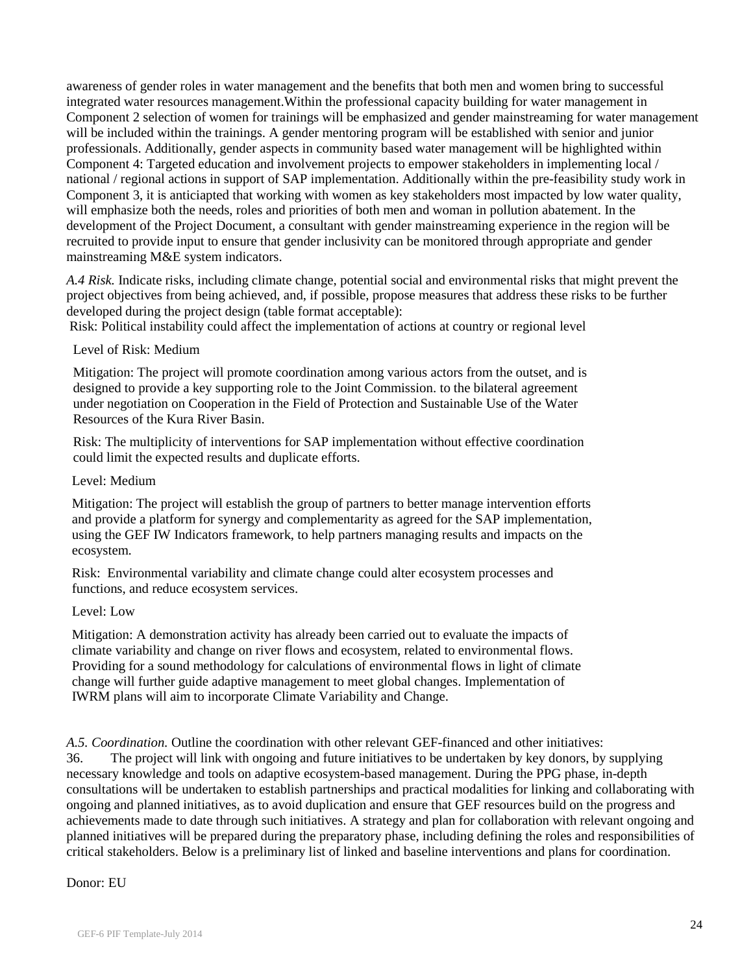awareness of gender roles in water management and the benefits that both men and women bring to successful integrated water resources management.Within the professional capacity building for water management in Component 2 selection of women for trainings will be emphasized and gender mainstreaming for water management will be included within the trainings. A gender mentoring program will be established with senior and junior professionals. Additionally, gender aspects in community based water management will be highlighted within Component 4: Targeted education and involvement projects to empower stakeholders in implementing local / national / regional actions in support of SAP implementation. Additionally within the pre-feasibility study work in Component 3, it is anticiapted that working with women as key stakeholders most impacted by low water quality, will emphasize both the needs, roles and priorities of both men and woman in pollution abatement. In the development of the Project Document, a consultant with gender mainstreaming experience in the region will be recruited to provide input to ensure that gender inclusivity can be monitored through appropriate and gender mainstreaming M&E system indicators.

*A.4 Risk.* Indicate risks, including climate change, potential social and environmental risks that might prevent the project objectives from being achieved, and, if possible, propose measures that address these risks to be further developed during the project design (table format acceptable):

Risk: Political instability could affect the implementation of actions at country or regional level

### Level of Risk: Medium

Mitigation: The project will promote coordination among various actors from the outset, and is designed to provide a key supporting role to the Joint Commission. to the bilateral agreement under negotiation on Cooperation in the Field of Protection and Sustainable Use of the Water Resources of the Kura River Basin.

Risk: The multiplicity of interventions for SAP implementation without effective coordination could limit the expected results and duplicate efforts.

#### Level: Medium

Mitigation: The project will establish the group of partners to better manage intervention efforts and provide a platform for synergy and complementarity as agreed for the SAP implementation, using the GEF IW Indicators framework, to help partners managing results and impacts on the ecosystem.

Risk: Environmental variability and climate change could alter ecosystem processes and functions, and reduce ecosystem services.

#### Level: Low

Mitigation: A demonstration activity has already been carried out to evaluate the impacts of climate variability and change on river flows and ecosystem, related to environmental flows. Providing for a sound methodology for calculations of environmental flows in light of climate change will further guide adaptive management to meet global changes. Implementation of IWRM plans will aim to incorporate Climate Variability and Change.

*A.5. Coordination.* Outline the coordination with other relevant GEF-financed and other initiatives: 36. The project will link with ongoing and future initiatives to be undertaken by key donors, by supplying necessary knowledge and tools on adaptive ecosystem-based management. During the PPG phase, in-depth consultations will be undertaken to establish partnerships and practical modalities for linking and collaborating with ongoing and planned initiatives, as to avoid duplication and ensure that GEF resources build on the progress and achievements made to date through such initiatives. A strategy and plan for collaboration with relevant ongoing and planned initiatives will be prepared during the preparatory phase, including defining the roles and responsibilities of critical stakeholders. Below is a preliminary list of linked and baseline interventions and plans for coordination.

## Donor: EU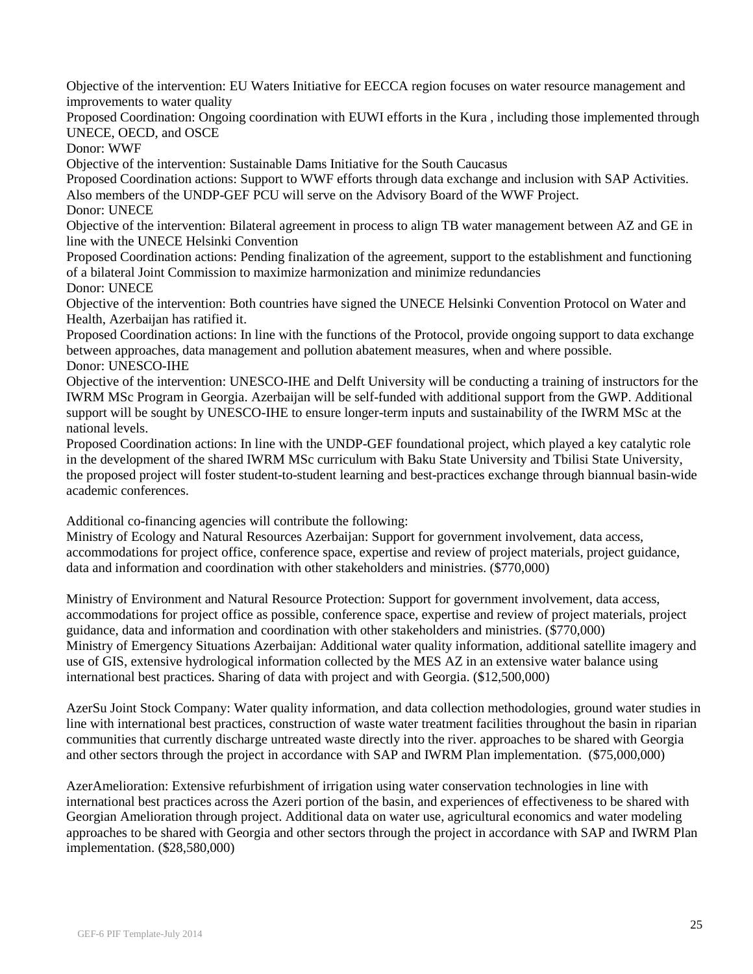Objective of the intervention: EU Waters Initiative for EECCA region focuses on water resource management and improvements to water quality

Proposed Coordination: Ongoing coordination with EUWI efforts in the Kura , including those implemented through UNECE, OECD, and OSCE

Donor: WWF

Objective of the intervention: Sustainable Dams Initiative for the South Caucasus

Proposed Coordination actions: Support to WWF efforts through data exchange and inclusion with SAP Activities.

Also members of the UNDP-GEF PCU will serve on the Advisory Board of the WWF Project.

Donor: UNECE

Objective of the intervention: Bilateral agreement in process to align TB water management between AZ and GE in line with the UNECE Helsinki Convention

Proposed Coordination actions: Pending finalization of the agreement, support to the establishment and functioning of a bilateral Joint Commission to maximize harmonization and minimize redundancies Donor: UNECE

Objective of the intervention: Both countries have signed the UNECE Helsinki Convention Protocol on Water and Health, Azerbaijan has ratified it.

Proposed Coordination actions: In line with the functions of the Protocol, provide ongoing support to data exchange between approaches, data management and pollution abatement measures, when and where possible. Donor: UNESCO-IHE

Objective of the intervention: UNESCO-IHE and Delft University will be conducting a training of instructors for the IWRM MSc Program in Georgia. Azerbaijan will be self-funded with additional support from the GWP. Additional support will be sought by UNESCO-IHE to ensure longer-term inputs and sustainability of the IWRM MSc at the national levels.

Proposed Coordination actions: In line with the UNDP-GEF foundational project, which played a key catalytic role in the development of the shared IWRM MSc curriculum with Baku State University and Tbilisi State University, the proposed project will foster student-to-student learning and best-practices exchange through biannual basin-wide academic conferences.

Additional co-financing agencies will contribute the following:

Ministry of Ecology and Natural Resources Azerbaijan: Support for government involvement, data access, accommodations for project office, conference space, expertise and review of project materials, project guidance, data and information and coordination with other stakeholders and ministries. (\$770,000)

Ministry of Environment and Natural Resource Protection: Support for government involvement, data access, accommodations for project office as possible, conference space, expertise and review of project materials, project guidance, data and information and coordination with other stakeholders and ministries. (\$770,000) Ministry of Emergency Situations Azerbaijan: Additional water quality information, additional satellite imagery and use of GIS, extensive hydrological information collected by the MES AZ in an extensive water balance using international best practices. Sharing of data with project and with Georgia. (\$12,500,000)

AzerSu Joint Stock Company: Water quality information, and data collection methodologies, ground water studies in line with international best practices, construction of waste water treatment facilities throughout the basin in riparian communities that currently discharge untreated waste directly into the river. approaches to be shared with Georgia and other sectors through the project in accordance with SAP and IWRM Plan implementation. (\$75,000,000)

AzerAmelioration: Extensive refurbishment of irrigation using water conservation technologies in line with international best practices across the Azeri portion of the basin, and experiences of effectiveness to be shared with Georgian Amelioration through project. Additional data on water use, agricultural economics and water modeling approaches to be shared with Georgia and other sectors through the project in accordance with SAP and IWRM Plan implementation. (\$28,580,000)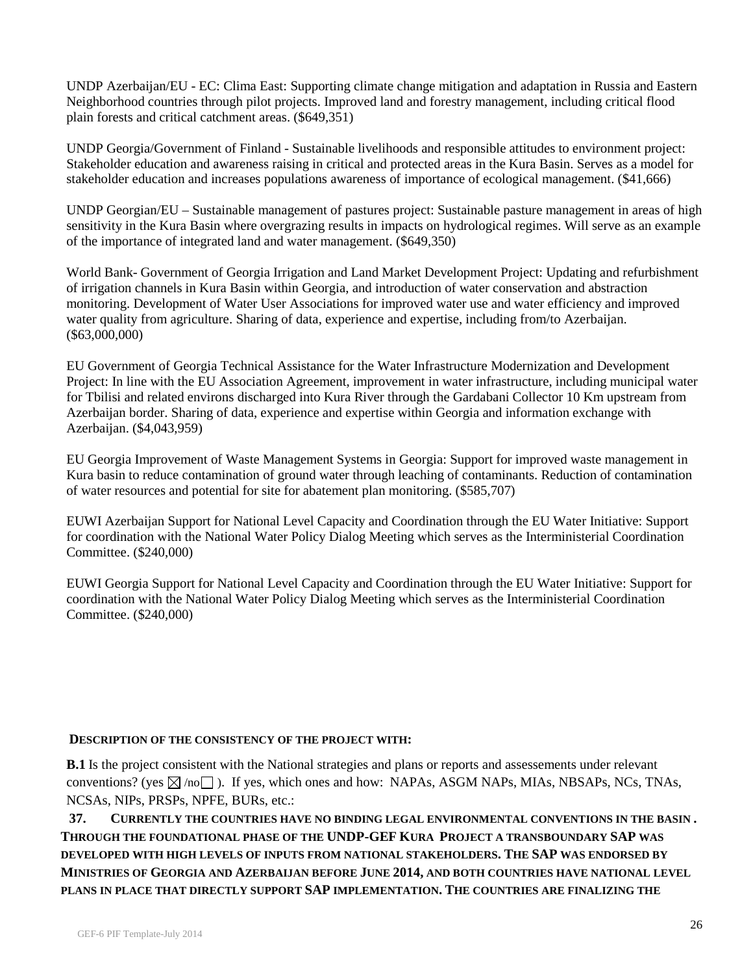UNDP Azerbaijan/EU - EC: Clima East: Supporting climate change mitigation and adaptation in Russia and Eastern Neighborhood countries through pilot projects. Improved land and forestry management, including critical flood plain forests and critical catchment areas. (\$649,351)

UNDP Georgia/Government of Finland - Sustainable livelihoods and responsible attitudes to environment project: Stakeholder education and awareness raising in critical and protected areas in the Kura Basin. Serves as a model for stakeholder education and increases populations awareness of importance of ecological management. (\$41,666)

UNDP Georgian/EU – Sustainable management of pastures project: Sustainable pasture management in areas of high sensitivity in the Kura Basin where overgrazing results in impacts on hydrological regimes. Will serve as an example of the importance of integrated land and water management. (\$649,350)

World Bank- Government of Georgia Irrigation and Land Market Development Project: Updating and refurbishment of irrigation channels in Kura Basin within Georgia, and introduction of water conservation and abstraction monitoring. Development of Water User Associations for improved water use and water efficiency and improved water quality from agriculture. Sharing of data, experience and expertise, including from/to Azerbaijan. (\$63,000,000)

EU Government of Georgia Technical Assistance for the Water Infrastructure Modernization and Development Project: In line with the EU Association Agreement, improvement in water infrastructure, including municipal water for Tbilisi and related environs discharged into Kura River through the Gardabani Collector 10 Km upstream from Azerbaijan border. Sharing of data, experience and expertise within Georgia and information exchange with Azerbaijan. (\$4,043,959)

EU Georgia Improvement of Waste Management Systems in Georgia: Support for improved waste management in Kura basin to reduce contamination of ground water through leaching of contaminants. Reduction of contamination of water resources and potential for site for abatement plan monitoring. (\$585,707)

EUWI Azerbaijan Support for National Level Capacity and Coordination through the EU Water Initiative: Support for coordination with the National Water Policy Dialog Meeting which serves as the Interministerial Coordination Committee. (\$240,000)

EUWI Georgia Support for National Level Capacity and Coordination through the EU Water Initiative: Support for coordination with the National Water Policy Dialog Meeting which serves as the Interministerial Coordination Committee. (\$240,000)

## **DESCRIPTION OF THE CONSISTENCY OF THE PROJECT WITH:**

**B.1** Is the project consistent with the National strategies and plans or reports and assessements under relevant conventions? (yes  $\boxtimes$  /no ). If yes, which ones and how: NAPAs, ASGM NAPs, MIAs, NBSAPs, NCs, TNAs, NCSAs, NIPs, PRSPs, NPFE, BURs, etc.:

 **37. CURRENTLY THE COUNTRIES HAVE NO BINDING LEGAL ENVIRONMENTAL CONVENTIONS IN THE BASIN . THROUGH THE FOUNDATIONAL PHASE OF THE UNDP-GEF KURA PROJECT A TRANSBOUNDARY SAP WAS DEVELOPED WITH HIGH LEVELS OF INPUTS FROM NATIONAL STAKEHOLDERS. THE SAP WAS ENDORSED BY MINISTRIES OF GEORGIA AND AZERBAIJAN BEFORE JUNE 2014, AND BOTH COUNTRIES HAVE NATIONAL LEVEL PLANS IN PLACE THAT DIRECTLY SUPPORT SAP IMPLEMENTATION. THE COUNTRIES ARE FINALIZING THE**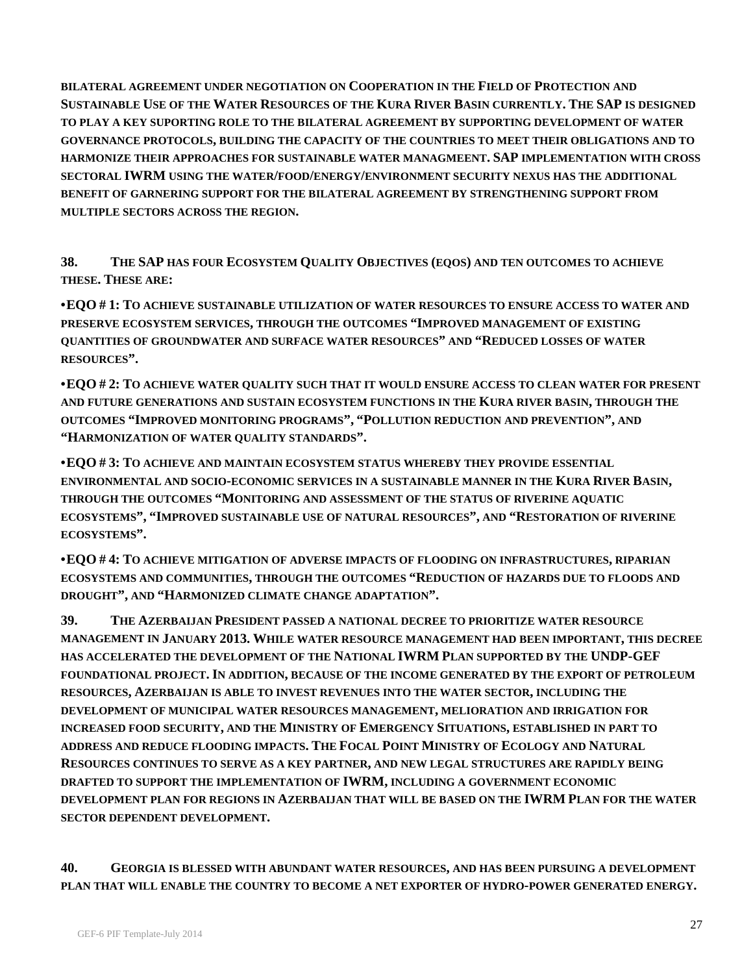**BILATERAL AGREEMENT UNDER NEGOTIATION ON COOPERATION IN THE FIELD OF PROTECTION AND SUSTAINABLE USE OF THE WATER RESOURCES OF THE KURA RIVER BASIN CURRENTLY. THE SAP IS DESIGNED TO PLAY A KEY SUPORTING ROLE TO THE BILATERAL AGREEMENT BY SUPPORTING DEVELOPMENT OF WATER GOVERNANCE PROTOCOLS, BUILDING THE CAPACITY OF THE COUNTRIES TO MEET THEIR OBLIGATIONS AND TO HARMONIZE THEIR APPROACHES FOR SUSTAINABLE WATER MANAGMEENT. SAP IMPLEMENTATION WITH CROSS SECTORAL IWRM USING THE WATER/FOOD/ENERGY/ENVIRONMENT SECURITY NEXUS HAS THE ADDITIONAL BENEFIT OF GARNERING SUPPORT FOR THE BILATERAL AGREEMENT BY STRENGTHENING SUPPORT FROM MULTIPLE SECTORS ACROSS THE REGION.**

**38. THE SAP HAS FOUR ECOSYSTEM QUALITY OBJECTIVES (EQOS) AND TEN OUTCOMES TO ACHIEVE THESE. THESE ARE:**

**•EQO # 1: TO ACHIEVE SUSTAINABLE UTILIZATION OF WATER RESOURCES TO ENSURE ACCESS TO WATER AND PRESERVE ECOSYSTEM SERVICES, THROUGH THE OUTCOMES "IMPROVED MANAGEMENT OF EXISTING QUANTITIES OF GROUNDWATER AND SURFACE WATER RESOURCES" AND "REDUCED LOSSES OF WATER RESOURCES".**

**•EQO # 2: TO ACHIEVE WATER QUALITY SUCH THAT IT WOULD ENSURE ACCESS TO CLEAN WATER FOR PRESENT AND FUTURE GENERATIONS AND SUSTAIN ECOSYSTEM FUNCTIONS IN THE KURA RIVER BASIN, THROUGH THE OUTCOMES "IMPROVED MONITORING PROGRAMS", "POLLUTION REDUCTION AND PREVENTION", AND "HARMONIZATION OF WATER QUALITY STANDARDS".**

**•EQO # 3: TO ACHIEVE AND MAINTAIN ECOSYSTEM STATUS WHEREBY THEY PROVIDE ESSENTIAL ENVIRONMENTAL AND SOCIO-ECONOMIC SERVICES IN A SUSTAINABLE MANNER IN THE KURA RIVER BASIN, THROUGH THE OUTCOMES "MONITORING AND ASSESSMENT OF THE STATUS OF RIVERINE AQUATIC ECOSYSTEMS", "IMPROVED SUSTAINABLE USE OF NATURAL RESOURCES", AND "RESTORATION OF RIVERINE ECOSYSTEMS".**

**•EQO # 4: TO ACHIEVE MITIGATION OF ADVERSE IMPACTS OF FLOODING ON INFRASTRUCTURES, RIPARIAN ECOSYSTEMS AND COMMUNITIES, THROUGH THE OUTCOMES "REDUCTION OF HAZARDS DUE TO FLOODS AND DROUGHT", AND "HARMONIZED CLIMATE CHANGE ADAPTATION".**

**39. THE AZERBAIJAN PRESIDENT PASSED A NATIONAL DECREE TO PRIORITIZE WATER RESOURCE MANAGEMENT IN JANUARY 2013. WHILE WATER RESOURCE MANAGEMENT HAD BEEN IMPORTANT, THIS DECREE HAS ACCELERATED THE DEVELOPMENT OF THE NATIONAL IWRM PLAN SUPPORTED BY THE UNDP-GEF FOUNDATIONAL PROJECT. IN ADDITION, BECAUSE OF THE INCOME GENERATED BY THE EXPORT OF PETROLEUM RESOURCES, AZERBAIJAN IS ABLE TO INVEST REVENUES INTO THE WATER SECTOR, INCLUDING THE DEVELOPMENT OF MUNICIPAL WATER RESOURCES MANAGEMENT, MELIORATION AND IRRIGATION FOR INCREASED FOOD SECURITY, AND THE MINISTRY OF EMERGENCY SITUATIONS, ESTABLISHED IN PART TO ADDRESS AND REDUCE FLOODING IMPACTS. THE FOCAL POINT MINISTRY OF ECOLOGY AND NATURAL RESOURCES CONTINUES TO SERVE AS A KEY PARTNER, AND NEW LEGAL STRUCTURES ARE RAPIDLY BEING DRAFTED TO SUPPORT THE IMPLEMENTATION OF IWRM, INCLUDING A GOVERNMENT ECONOMIC DEVELOPMENT PLAN FOR REGIONS IN AZERBAIJAN THAT WILL BE BASED ON THE IWRM PLAN FOR THE WATER SECTOR DEPENDENT DEVELOPMENT.**

**40. GEORGIA IS BLESSED WITH ABUNDANT WATER RESOURCES, AND HAS BEEN PURSUING A DEVELOPMENT PLAN THAT WILL ENABLE THE COUNTRY TO BECOME A NET EXPORTER OF HYDRO-POWER GENERATED ENERGY.**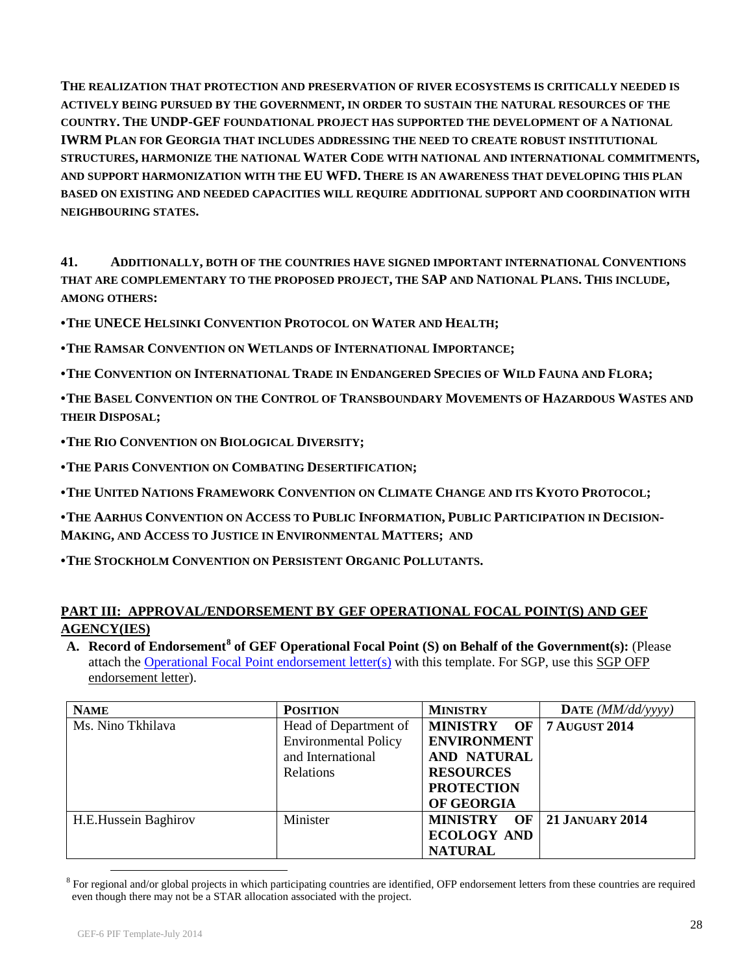**THE REALIZATION THAT PROTECTION AND PRESERVATION OF RIVER ECOSYSTEMS IS CRITICALLY NEEDED IS ACTIVELY BEING PURSUED BY THE GOVERNMENT, IN ORDER TO SUSTAIN THE NATURAL RESOURCES OF THE COUNTRY. THE UNDP-GEF FOUNDATIONAL PROJECT HAS SUPPORTED THE DEVELOPMENT OF A NATIONAL IWRM PLAN FOR GEORGIA THAT INCLUDES ADDRESSING THE NEED TO CREATE ROBUST INSTITUTIONAL STRUCTURES, HARMONIZE THE NATIONAL WATER CODE WITH NATIONAL AND INTERNATIONAL COMMITMENTS, AND SUPPORT HARMONIZATION WITH THE EU WFD. THERE IS AN AWARENESS THAT DEVELOPING THIS PLAN BASED ON EXISTING AND NEEDED CAPACITIES WILL REQUIRE ADDITIONAL SUPPORT AND COORDINATION WITH NEIGHBOURING STATES.**

**41. ADDITIONALLY, BOTH OF THE COUNTRIES HAVE SIGNED IMPORTANT INTERNATIONAL CONVENTIONS THAT ARE COMPLEMENTARY TO THE PROPOSED PROJECT, THE SAP AND NATIONAL PLANS. THIS INCLUDE, AMONG OTHERS:**

**•THE UNECE HELSINKI CONVENTION PROTOCOL ON WATER AND HEALTH;**

**•THE RAMSAR CONVENTION ON WETLANDS OF INTERNATIONAL IMPORTANCE;**

**•THE CONVENTION ON INTERNATIONAL TRADE IN ENDANGERED SPECIES OF WILD FAUNA AND FLORA;**

**•THE BASEL CONVENTION ON THE CONTROL OF TRANSBOUNDARY MOVEMENTS OF HAZARDOUS WASTES AND THEIR DISPOSAL;**

**•THE RIO CONVENTION ON BIOLOGICAL DIVERSITY;**

**•THE PARIS CONVENTION ON COMBATING DESERTIFICATION;**

**•THE UNITED NATIONS FRAMEWORK CONVENTION ON CLIMATE CHANGE AND ITS KYOTO PROTOCOL;**

**•THE AARHUS CONVENTION ON ACCESS TO PUBLIC INFORMATION, PUBLIC PARTICIPATION IN DECISION-MAKING, AND ACCESS TO JUSTICE IN ENVIRONMENTAL MATTERS; AND**

**•THE STOCKHOLM CONVENTION ON PERSISTENT ORGANIC POLLUTANTS.**

## **PART III: APPROVAL/ENDORSEMENT BY GEF OPERATIONAL FOCAL POINT(S) AND GEF AGENCY(IES)**

**A. Record of Endorsement[8](#page-27-0) of GEF Operational Focal Point (S) on Behalf of the Government(s):** (Please attach the [Operational Focal Point endorsement letter\(s\)](http://spapps.worldbank.org/apps/gef/teams/obs/Shared%20Documents/GEF%20OPERATIONS/Template/Docs%20linked%20to%20templates/OFP%20Endorsement%20Letter%20Template-July2014.doc) with this template. For SGP, use this SGP OFP endorsement letter).

| <b>NAME</b>          | <b>POSITION</b>             | <b>MINISTRY</b>             | DATE $(MM/dd/\gamma yyy)$ |
|----------------------|-----------------------------|-----------------------------|---------------------------|
| Ms. Nino Tkhilava    | Head of Department of       | MINISTRY OF   7 AUGUST 2014 |                           |
|                      | <b>Environmental Policy</b> | <b>ENVIRONMENT</b>          |                           |
|                      | and International           | AND NATURAL                 |                           |
|                      | <b>Relations</b>            | <b>RESOURCES</b>            |                           |
|                      |                             | <b>PROTECTION</b>           |                           |
|                      |                             | OF GEORGIA                  |                           |
| H.E.Hussein Baghirov | Minister                    | <b>MINISTRY</b>             | OF 21 JANUARY 2014        |
|                      |                             | <b>ECOLOGY AND</b>          |                           |
|                      |                             | <b>NATURAL</b>              |                           |

<span id="page-27-0"></span> $8$  For regional and/or global projects in which participating countries are identified, OFP endorsement letters from these countries are required even though there may not be a STAR allocation associated with the project.